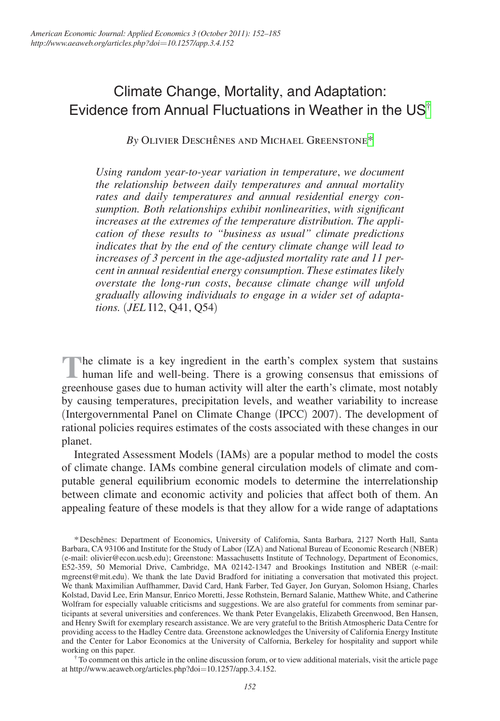# Climate Change, Mortality, and Adaptation: Evidence from Annual Fluctuations in Weather in the US[†](#page-0-0)

*By* Olivier Deschênes and Michael Greenston[e\\*](#page-0-1)

*Using random year-to-year variation in temperature*, *we document the relationship between daily temperatures and annual mortality rates and daily temperatures and annual residential energy consumption. Both relationships exhibit nonlinearities*, *with significant increases at the extremes of the temperature distribution. The application of these results to "business as usual" climate predictions indicates that by the end of the century climate change will lead to increases of 3 percent in the age-adjusted mortality rate and 11 percent in annual residential energy consumption. These estimates likely overstate the long-run costs*, *because climate change will unfold gradually allowing individuals to engage in a wider set of adaptations.* (*JEL* I12, Q41, Q54)

**T**he climate is a key ingredient in the earth's complex system that sustains human life and well-being. There is a growing consensus that emissions of greenhouse gases due to human activity will alter the earth's climate, most notably by causing temperatures, precipitation levels, and weather variability to increase (Intergovernmental Panel on Climate Change (IPCC) 2007). The development of rational policies requires estimates of the costs associated with these changes in our planet.

Integrated Assessment Models (IAMs) are a popular method to model the costs of climate change. IAMs combine general circulation models of climate and computable general equilibrium economic models to determine the interrelationship between climate and economic activity and policies that affect both of them. An appealing feature of these models is that they allow for a wide range of adaptations

<span id="page-0-1"></span>\*Deschênes: Department of Economics, University of California, Santa Barbara, 2127 North Hall, Santa Barbara, CA 93106 and Institute for the Study of Labor (IZA) and National Bureau of Economic Research (NBER) (e-mail: olivier@econ.ucsb.edu); Greenstone: Massachusetts Institute of Technology, Department of Economics, E52-359, 50 Memorial Drive, Cambridge, MA 02142-1347 and Brookings Institution and NBER (e-mail: mgreenst@mit.edu). We thank the late David Bradford for initiating a conversation that motivated this project. We thank Maximilian Auffhammer, David Card, Hank Farber, Ted Gayer, Jon Guryan, Solomon Hsiang, Charles Kolstad, David Lee, Erin Mansur, Enrico Moretti, Jesse Rothstein, Bernard Salanie, Matthew White, and Catherine Wolfram for especially valuable criticisms and suggestions. We are also grateful for comments from seminar participants at several universities and conferences. We thank Peter Evangelakis, Elizabeth Greenwood, Ben Hansen, and Henry Swift for exemplary research assistance. We are very grateful to the British Atmospheric Data Centre for providing access to the Hadley Centre data. Greenstone acknowledges the University of California Energy Institute and the Center for Labor Economics at the University of Calfornia, Berkeley for hospitality and support while working on this paper.<br>† To comment on this article in the online discussion forum, or to view additional materials, visit the article page

<span id="page-0-0"></span>at [http://www.aeaweb.org/articles.php?doi](http://www.aeaweb.org/articles.php?doi=10.1257/app.3.4.152)=10.1257/app.3.4.152.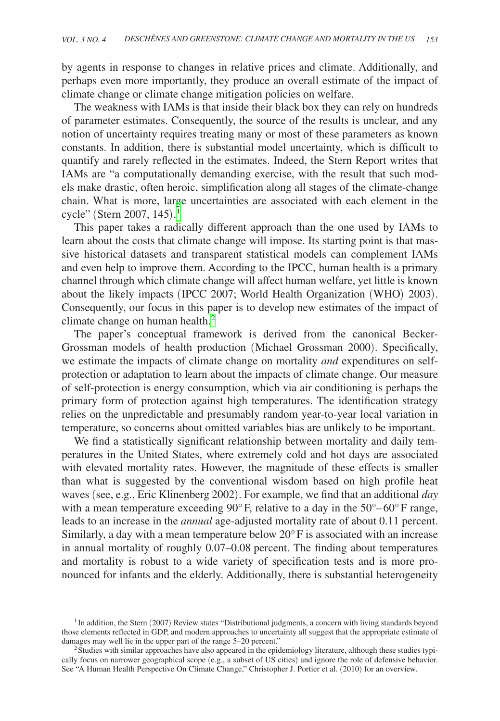by agents in response to changes in relative prices and climate. Additionally, and perhaps even more importantly, they produce an overall estimate of the impact of climate change or climate change mitigation policies on welfare.

The weakness with IAMs is that inside their black box they can rely on hundreds of parameter estimates. Consequently, the source of the results is unclear, and any notion of uncertainty requires treating many or most of these parameters as known constants. In addition, there is substantial model uncertainty, which is difficult to quantify and rarely reflected in the estimates. Indeed, the Stern Report writes that IAMs are "a computationally demanding exercise, with the result that such models make drastic, often heroic, simplification along all stages of the climate-change chain. What is more, large uncertainties are associated with each element in the cycle" (Stern 2007, 145). [1](#page-1-0)

This paper takes a radically different approach than the one used by IAMs to learn about the costs that climate change will impose. Its starting point is that massive historical datasets and transparent statistical models can complement IAMs and even help to improve them. According to the IPCC, human health is a primary channel through which climate change will affect human welfare, yet little is known about the likely impacts (IPCC 2007; World Health Organization (WHO) 2003). Consequently, our focus in this paper is to develop new estimates of the impact of climate change on human health.<sup>2</sup>

The paper's conceptual framework is derived from the canonical Becker-Grossman models of health production (Michael Grossman 2000). Specifically, we estimate the impacts of climate change on mortality *and* expenditures on selfprotection or adaptation to learn about the impacts of climate change. Our measure of self-protection is energy consumption, which via air conditioning is perhaps the primary form of protection against high temperatures. The identification strategy relies on the unpredictable and presumably random year-to-year local variation in temperature, so concerns about omitted variables bias are unlikely to be important.

We find a statistically significant relationship between mortality and daily temperatures in the United States, where extremely cold and hot days are associated with elevated mortality rates. However, the magnitude of these effects is smaller than what is suggested by the conventional wisdom based on high profile heat waves (see, e.g., Eric Klinenberg 2002). For example, we find that an additional *day* with a mean temperature exceeding  $90^{\circ}$  F, relative to a day in the  $50^{\circ}$ – $60^{\circ}$  F range, leads to an increase in the *annual* age-adjusted mortality rate of about 0.11 percent. Similarly, a day with a mean temperature below 20°F is associated with an increase in annual mortality of roughly 0.07–0.08 percent. The finding about temperatures and mortality is robust to a wide variety of specification tests and is more pronounced for infants and the elderly. Additionally, there is substantial heterogeneity

<span id="page-1-0"></span><sup>&</sup>lt;sup>1</sup> In addition, the Stern (2007) Review states "Distributional judgments, a concern with living standards beyond those elements reflected in GDP, and modern approaches to uncertainty all suggest that the appropriate estimate of damages may well lie in the upper part of the range 5–20 percent."

<span id="page-1-1"></span><sup>&</sup>lt;sup>2</sup> Studies with similar approaches have also appeared in the epidemiology literature, although these studies typically focus on narrower geographical scope (e.g., a subset of US cities) and ignore the role of defensive behavior. See "A Human Health Perspective On Climate Change," Christopher J. Portier et al. (2010) for an overview.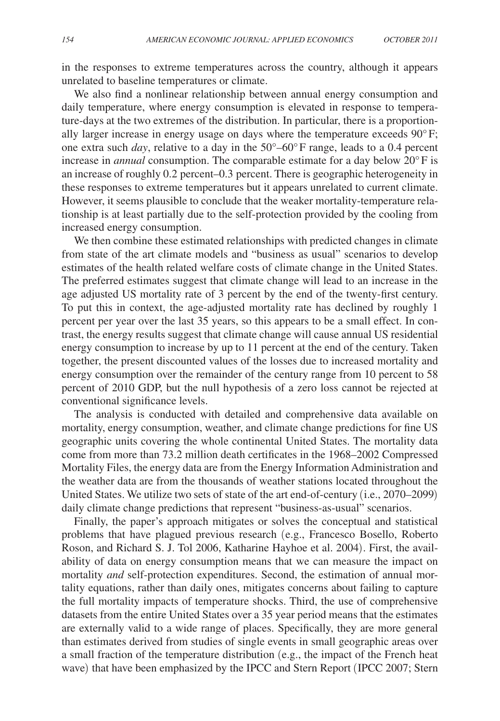in the responses to extreme temperatures across the country, although it appears unrelated to baseline temperatures or climate.

We also find a nonlinear relationship between annual energy consumption and daily temperature, where energy consumption is elevated in response to temperature-days at the two extremes of the distribution. In particular, there is a proportionally larger increase in energy usage on days where the temperature exceeds 90°F; one extra such *day*, relative to a day in the 50°–60°F range, leads to a 0.4 percent increase in *annual* consumption. The comparable estimate for a day below 20°F is an increase of roughly 0.2 percent–0.3 percent. There is geographic heterogeneity in these responses to extreme temperatures but it appears unrelated to current climate. However, it seems plausible to conclude that the weaker mortality-temperature relationship is at least partially due to the self-protection provided by the cooling from increased energy consumption.

We then combine these estimated relationships with predicted changes in climate from state of the art climate models and "business as usual" scenarios to develop estimates of the health related welfare costs of climate change in the United States. The preferred estimates suggest that climate change will lead to an increase in the age adjusted US mortality rate of 3 percent by the end of the twenty-first century. To put this in context, the age-adjusted mortality rate has declined by roughly 1 percent per year over the last 35 years, so this appears to be a small effect. In contrast, the energy results suggest that climate change will cause annual US residential energy consumption to increase by up to 11 percent at the end of the century. Taken together, the present discounted values of the losses due to increased mortality and energy consumption over the remainder of the century range from 10 percent to 58 percent of 2010 GDP, but the null hypothesis of a zero loss cannot be rejected at conventional significance levels.

The analysis is conducted with detailed and comprehensive data available on mortality, energy consumption, weather, and climate change predictions for fine US geographic units covering the whole continental United States. The mortality data come from more than 73.2 million death certificates in the 1968–2002 Compressed Mortality Files, the energy data are from the Energy Information Administration and the weather data are from the thousands of weather stations located throughout the United States. We utilize two sets of state of the art end-of-century (i.e., 2070–2099) daily climate change predictions that represent "business-as-usual" scenarios.

Finally, the paper's approach mitigates or solves the conceptual and statistical problems that have plagued previous research (e.g., Francesco Bosello, Roberto Roson, and Richard S. J. Tol 2006, Katharine Hayhoe et al. 2004). First, the availability of data on energy consumption means that we can measure the impact on mortality *and* self-protection expenditures. Second, the estimation of annual mortality equations, rather than daily ones, mitigates concerns about failing to capture the full mortality impacts of temperature shocks. Third, the use of comprehensive datasets from the entire United States over a 35 year period means that the estimates are externally valid to a wide range of places. Specifically, they are more general than estimates derived from studies of single events in small geographic areas over a small fraction of the temperature distribution (e.g., the impact of the French heat wave) that have been emphasized by the IPCC and Stern Report (IPCC 2007; Stern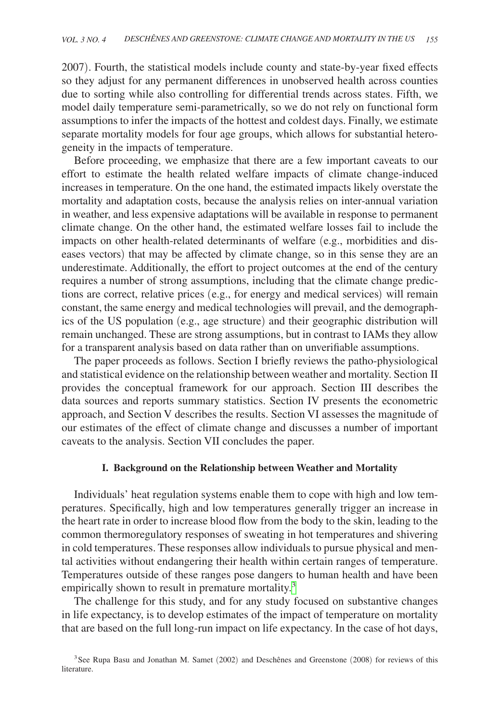<span id="page-3-0"></span>2007). Fourth, the statistical models include county and state-by-year fixed effects so they adjust for any permanent differences in unobserved health across counties due to sorting while also controlling for differential trends across states. Fifth, we model daily temperature semi-parametrically, so we do not rely on functional form assumptions to infer the impacts of the hottest and coldest days. Finally, we estimate separate mortality models for four age groups, which allows for substantial heterogeneity in the impacts of temperature.

Before proceeding, we emphasize that there are a few important caveats to our effort to estimate the health related welfare impacts of climate change-induced increases in temperature. On the one hand, the estimated impacts likely overstate the mortality and adaptation costs, because the analysis relies on inter-annual variation in weather, and less expensive adaptations will be available in response to permanent climate change. On the other hand, the estimated welfare losses fail to include the impacts on other health-related determinants of welfare (e.g., morbidities and diseases vectors) that may be affected by climate change, so in this sense they are an underestimate. Additionally, the effort to project outcomes at the end of the century requires a number of strong assumptions, including that the climate change predictions are correct, relative prices (e.g., for energy and medical services) will remain constant, the same energy and medical technologies will prevail, and the demographics of the US population (e.g., age structure) and their geographic distribution will remain unchanged. These are strong assumptions, but in contrast to IAMs they allow for a transparent analysis based on data rather than on unverifiable assumptions.

The paper proceeds as follows. Section I briefly reviews the patho-physiological and statistical evidence on the relationship between weather and mortality. Section II provides the conceptual framework for our approach. Section III describes the data sources and reports summary statistics. Section IV presents the econometric approach, and Section V describes the results. Section VI assesses the magnitude of our estimates of the effect of climate change and discusses a number of important caveats to the analysis. Section VII concludes the paper.

## **I. Background on the Relationship between Weather and Mortality**

Individuals' heat regulation systems enable them to cope with high and low temperatures. Specifically, high and low temperatures generally trigger an increase in the heart rate in order to increase blood flow from the body to the skin, leading to the common thermoregulatory responses of sweating in hot temperatures and shivering in cold temperatures. These responses allow individuals to pursue physical and mental activities without endangering their health within certain ranges of temperature. Temperatures outside of these ranges pose dangers to human health and have been empirically shown to result in premature mortality.<sup>[3](#page-3-1)</sup>

The challenge for this study, and for any study focused on substantive changes in life expectancy, is to develop estimates of the impact of temperature on mortality that are based on the full long-run impact on life expectancy. In the case of hot days,

<span id="page-3-1"></span><sup>&</sup>lt;sup>3</sup>See Rupa Basu and Jonathan M. Samet (2002) and Deschênes and Greenstone (2008) for reviews of this literature.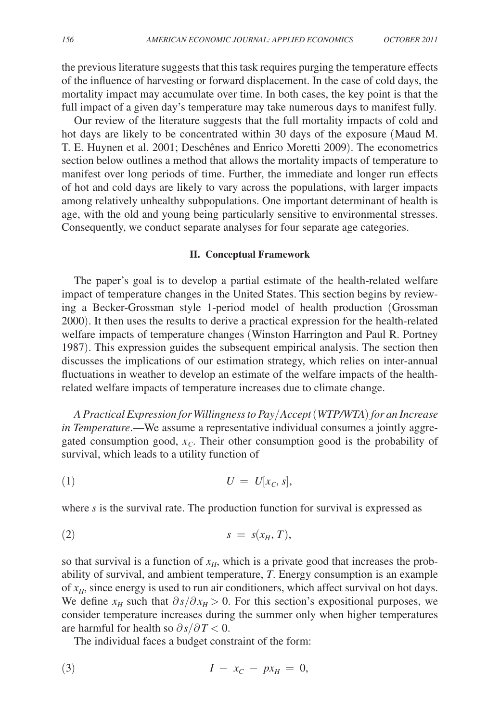<span id="page-4-0"></span>the previous literature suggests that this task requires purging the temperature effects of the influence of harvesting or forward displacement. In the case of cold days, the mortality impact may accumulate over time. In both cases, the key point is that the full impact of a given day's temperature may take numerous days to manifest fully.

Our review of the literature suggests that the full mortality impacts of cold and hot days are likely to be concentrated within 30 days of the exposure (Maud M. T. E. Huynen et al. 2001; Deschênes and Enrico Moretti 2009). The econometrics section below outlines a method that allows the mortality impacts of temperature to manifest over long periods of time. Further, the immediate and longer run effects of hot and cold days are likely to vary across the populations, with larger impacts among relatively unhealthy subpopulations. One important determinant of health is age, with the old and young being particularly sensitive to environmental stresses. Consequently, we conduct separate analyses for four separate age categories.

#### **II. Conceptual Framework**

The paper's goal is to develop a partial estimate of the health-related welfare impact of temperature changes in the United States. This section begins by reviewing a Becker-Grossman style 1-period model of health production (Grossman 2000). It then uses the results to derive a practical expression for the health-related welfare impacts of temperature changes (Winston Harrington and Paul R. Portney 1987). This expression guides the subsequent empirical analysis. The section then discusses the implications of our estimation strategy, which relies on inter-annual fluctuations in weather to develop an estimate of the welfare impacts of the healthrelated welfare impacts of temperature increases due to climate change.

*A Practical Expression for Willingness to Pay*/*Accept* (*WTP/WTA*) *for an Increase in Temperature*.—We assume a representative individual consumes a jointly aggregated consumption good,  $x_C$ . Their other consumption good is the probability of survival, which leads to a utility function of

$$
(1) \tU = U[x_C, s],
$$

where *s* is the survival rate. The production function for survival is expressed as

$$
(2) \t\t s = s(x_H, T),
$$

so that survival is a function of  $x_H$ , which is a private good that increases the probability of survival, and ambient temperature, *T*. Energy consumption is an example of  $x_H$ , since energy is used to run air conditioners, which affect survival on hot days. We define  $x_H$  such that  $\partial s/\partial x_H > 0$ . For this section's expositional purposes, we consider temperature increases during the summer only when higher temperatures are harmful for health so ∂*s*/∂*T* < 0.

The individual faces a budget constraint of the form:

$$
(3) \tI - x_C - px_H = 0,
$$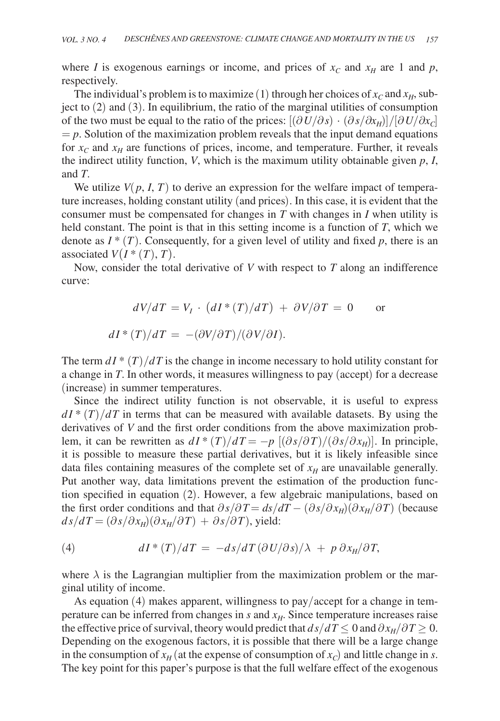where *I* is exogenous earnings or income, and prices of  $x_c$  and  $x_H$  are 1 and  $p$ , respectively.

The individual's problem is to maximize (1) through her choices of  $x_C$  and  $x_H$ , subject to (2) and (3). In equilibrium, the ratio of the marginal utilities of consumption of the two must be equal to the ratio of the prices:  $[(\partial U/\partial s) \cdot (\partial s/\partial x_H)]/[\partial U/\partial x_C]$  $= p$ . Solution of the maximization problem reveals that the input demand equations for  $x_c$  and  $x_H$  are functions of prices, income, and temperature. Further, it reveals the indirect utility function, *V*, which is the maximum utility obtainable given  $p$ ,  $I$ , and *T*.

We utilize  $V(p, I, T)$  to derive an expression for the welfare impact of temperature increases, holding constant utility (and prices). In this case, it is evident that the consumer must be compensated for changes in *T* with changes in *I* when utility is held constant. The point is that in this setting income is a function of *T*, which we denote as  $I^*(T)$ . Consequently, for a given level of utility and fixed p, there is an associated  $V(I^*(T), T)$ .

Now, consider the total derivative of *V* with respect to *T* along an indifference curve:

$$
dV/dT = V_I \cdot (dI * (T)/dT) + \partial V/\partial T = 0 \quad \text{or}
$$
  

$$
dI * (T)/dT = -(\partial V/\partial T)/(\partial V/\partial I).
$$

The term  $dI^*(T)/dT$  is the change in income necessary to hold utility constant for a change in *T*. In other words, it measures willingness to pay (accept) for a decrease (increase) in summer temperatures.

Since the indirect utility function is not observable, it is useful to express  $dI * (T)/dT$  in terms that can be measured with available datasets. By using the derivatives of *V* and the first order conditions from the above maximization problem, it can be rewritten as  $dI^*(T)/dT = -p \left[ (\partial s/\partial T)/(\partial s/\partial x_H) \right]$ . In principle, it is possible to measure these partial derivatives, but it is likely infeasible since data files containing measures of the complete set of  $x_H$  are unavailable generally. Put another way, data limitations prevent the estimation of the production function specified in equation (2). However, a few algebraic manipulations, based on the first order conditions and that  $\partial s/\partial T = ds/dT - (\partial s/\partial x_H)(\partial x_H/\partial T)$  (because  $ds/dT = (\partial s/\partial x_H)(\partial x_H/\partial T) + \partial s/\partial T$ , yield:

(4) 
$$
dI^*(T)/dT = -ds/dT(\partial U/\partial s)/\lambda + p \partial x_H/\partial T,
$$

where  $\lambda$  is the Lagrangian multiplier from the maximization problem or the marginal utility of income.

As equation (4) makes apparent, willingness to pay/accept for a change in temperature can be inferred from changes in  $s$  and  $x_H$ . Since temperature increases raise the effective price of survival, theory would predict that  $ds/dT \leq 0$  and  $\partial x_H/\partial T \geq 0$ . Depending on the exogenous factors, it is possible that there will be a large change in the consumption of  $x_H$  (at the expense of consumption of  $x_C$ ) and little change in *s*. The key point for this paper's purpose is that the full welfare effect of the exogenous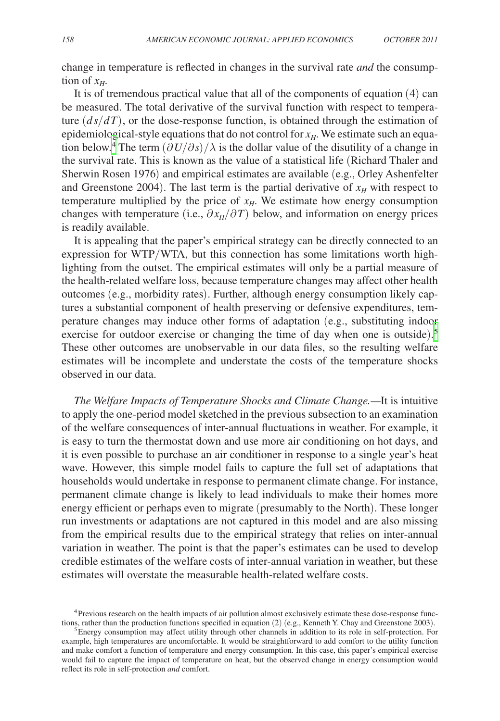change in temperature is reflected in changes in the survival rate *and* the consumption of  $x_H$ .

It is of tremendous practical value that all of the components of equation (4) can be measured. The total derivative of the survival function with respect to temperature  $(ds/dT)$ , or the dose-response function, is obtained through the estimation of epidemiological-style equations that do not control for  $x_H$ . We estimate such an equa-tion below.<sup>[4](#page-6-0)</sup> The term  $\left(\frac{\partial U}{\partial s}\right)/\lambda$  is the dollar value of the disutility of a change in the survival rate. This is known as the value of a statistical life (Richard Thaler and Sherwin Rosen 1976) and empirical estimates are available (e.g., Orley Ashenfelter and Greenstone 2004). The last term is the partial derivative of  $x_H$  with respect to temperature multiplied by the price of  $x_H$ . We estimate how energy consumption changes with temperature (i.e.,  $\partial x_H/\partial T$ ) below, and information on energy prices is readily available.

It is appealing that the paper's empirical strategy can be directly connected to an expression for WTP/WTA, but this connection has some limitations worth highlighting from the outset. The empirical estimates will only be a partial measure of the health-related welfare loss, because temperature changes may affect other health outcomes (e.g., morbidity rates). Further, although energy consumption likely captures a substantial component of health preserving or defensive expenditures, temperature changes may induce other forms of adaptation (e.g., substituting indoor exercise for outdoor exercise or changing the time of day when one is outside).<sup>[5](#page-6-1)</sup> These other outcomes are unobservable in our data files, so the resulting welfare estimates will be incomplete and understate the costs of the temperature shocks observed in our data.

*The Welfare Impacts of Temperature Shocks and Climate Change.—*It is intuitive to apply the one-period model sketched in the previous subsection to an examination of the welfare consequences of inter-annual fluctuations in weather. For example, it is easy to turn the thermostat down and use more air conditioning on hot days, and it is even possible to purchase an air conditioner in response to a single year's heat wave. However, this simple model fails to capture the full set of adaptations that households would undertake in response to permanent climate change. For instance, permanent climate change is likely to lead individuals to make their homes more energy efficient or perhaps even to migrate (presumably to the North). These longer run investments or adaptations are not captured in this model and are also missing from the empirical results due to the empirical strategy that relies on inter-annual variation in weather. The point is that the paper's estimates can be used to develop credible estimates of the welfare costs of inter-annual variation in weather, but these estimates will overstate the measurable health-related welfare costs.

<span id="page-6-0"></span> $4$ Previous research on the health impacts of air pollution almost exclusively estimate these dose-response func-<br>tions, rather than the production functions specified in equation (2) (e.g., Kenneth Y. Chay and Greenstone

<span id="page-6-1"></span> $5$  Energy consumption may affect utility through other channels in addition to its role in self-protection. For example, high temperatures are uncomfortable. It would be straightforward to add comfort to the utility function and make comfort a function of temperature and energy consumption. In this case, this paper's empirical exercise would fail to capture the impact of temperature on heat, but the observed change in energy consumption would reflect its role in self-protection *and* comfort.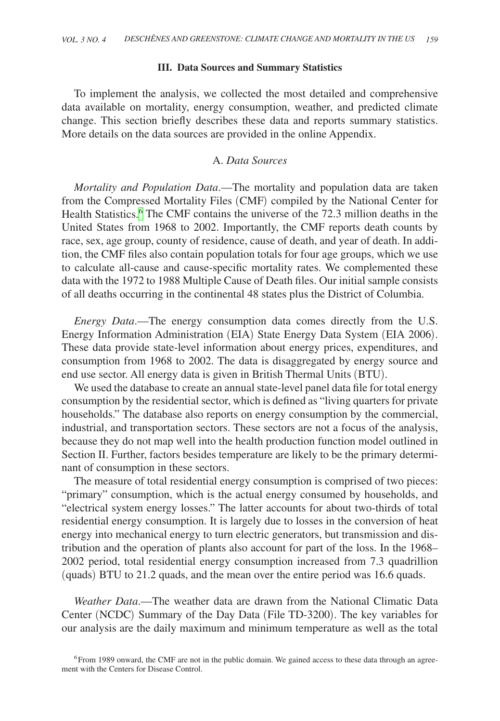## **III. Data Sources and Summary Statistics**

<span id="page-7-0"></span>To implement the analysis, we collected the most detailed and comprehensive data available on mortality, energy consumption, weather, and predicted climate change. This section briefly describes these data and reports summary statistics. More details on the data sources are provided in the online Appendix.

# A. *Data Sources*

*Mortality and Population Data*.—The mortality and population data are taken from the Compressed Mortality Files (CMF) compiled by the National Center for Health Statistics.<sup>[6](#page-7-1)</sup> The CMF contains the universe of the 72.3 million deaths in the United States from 1968 to 2002. Importantly, the CMF reports death counts by race, sex, age group, county of residence, cause of death, and year of death. In addition, the CMF files also contain population totals for four age groups, which we use to calculate all-cause and cause-specific mortality rates. We complemented these data with the 1972 to 1988 Multiple Cause of Death files. Our initial sample consists of all deaths occurring in the continental 48 states plus the District of Columbia.

*Energy Data*.—The energy consumption data comes directly from the U.S. Energy Information Administration (EIA) State Energy Data System (EIA 2006). These data provide state-level information about energy prices, expenditures, and consumption from 1968 to 2002. The data is disaggregated by energy source and end use sector. All energy data is given in British Thermal Units (BTU).

We used the database to create an annual state-level panel data file for total energy consumption by the residential sector, which is defined as "living quarters for private households." The database also reports on energy consumption by the commercial, industrial, and transportation sectors. These sectors are not a focus of the analysis, because they do not map well into the health production function model outlined in Section II. Further, factors besides temperature are likely to be the primary determinant of consumption in these sectors.

The measure of total residential energy consumption is comprised of two pieces: "primary" consumption, which is the actual energy consumed by households, and "electrical system energy losses." The latter accounts for about two-thirds of total residential energy consumption. It is largely due to losses in the conversion of heat energy into mechanical energy to turn electric generators, but transmission and distribution and the operation of plants also account for part of the loss. In the 1968– 2002 period, total residential energy consumption increased from 7.3 quadrillion (quads) BTU to 21.2 quads, and the mean over the entire period was 16.6 quads.

*Weather Data*.—The weather data are drawn from the National Climatic Data Center (NCDC) Summary of the Day Data (File TD-3200). The key variables for our analysis are the daily maximum and minimum temperature as well as the total

<span id="page-7-1"></span><sup>6</sup>From 1989 onward, the CMF are not in the public domain. We gained access to these data through an agreement with the Centers for Disease Control.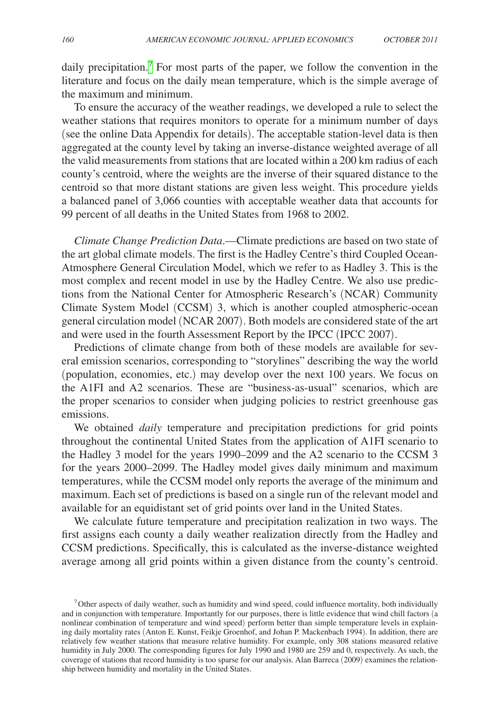daily precipitation.<sup>7</sup> For most parts of the paper, we follow the convention in the literature and focus on the daily mean temperature, which is the simple average of the maximum and minimum.

To ensure the accuracy of the weather readings, we developed a rule to select the weather stations that requires monitors to operate for a minimum number of days (see the online Data Appendix for details). The acceptable station-level data is then aggregated at the county level by taking an inverse-distance weighted average of all the valid measurements from stations that are located within a 200 km radius of each county's centroid, where the weights are the inverse of their squared distance to the centroid so that more distant stations are given less weight. This procedure yields a balanced panel of 3,066 counties with acceptable weather data that accounts for 99 percent of all deaths in the United States from 1968 to 2002.

*Climate Change Prediction Data*.—Climate predictions are based on two state of the art global climate models. The first is the Hadley Centre's third Coupled Ocean-Atmosphere General Circulation Model, which we refer to as Hadley 3. This is the most complex and recent model in use by the Hadley Centre. We also use predictions from the National Center for Atmospheric Research's (NCAR) Community Climate System Model (CCSM) 3, which is another coupled atmospheric-ocean general circulation model (NCAR 2007). Both models are considered state of the art and were used in the fourth Assessment Report by the IPCC (IPCC 2007).

Predictions of climate change from both of these models are available for several emission scenarios, corresponding to "storylines" describing the way the world (population, economies, etc.) may develop over the next 100 years. We focus on the A1FI and A2 scenarios. These are "business-as-usual" scenarios, which are the proper scenarios to consider when judging policies to restrict greenhouse gas emissions.

We obtained *daily* temperature and precipitation predictions for grid points throughout the continental United States from the application of A1FI scenario to the Hadley 3 model for the years 1990–2099 and the A2 scenario to the CCSM 3 for the years 2000–2099. The Hadley model gives daily minimum and maximum temperatures, while the CCSM model only reports the average of the minimum and maximum. Each set of predictions is based on a single run of the relevant model and available for an equidistant set of grid points over land in the United States.

We calculate future temperature and precipitation realization in two ways. The first assigns each county a daily weather realization directly from the Hadley and CCSM predictions. Specifically, this is calculated as the inverse-distance weighted average among all grid points within a given distance from the county's centroid.

<span id="page-8-0"></span>7Other aspects of daily weather, such as humidity and wind speed, could influence mortality, both individually and in conjunction with temperature. Importantly for our purposes, there is little evidence that wind chill factors (a nonlinear combination of temperature and wind speed) perform better than simple temperature levels in explaining daily mortality rates (Anton E. Kunst, Feikje Groenhof, and Johan P. Mackenbach 1994). In addition, there are relatively few weather stations that measure relative humidity. For example, only 308 stations measured relative humidity in July 2000. The corresponding figures for July 1990 and 1980 are 259 and 0, respectively. As such, the coverage of stations that record humidity is too sparse for our analysis. Alan Barreca (2009) examines the relationship between humidity and mortality in the United States.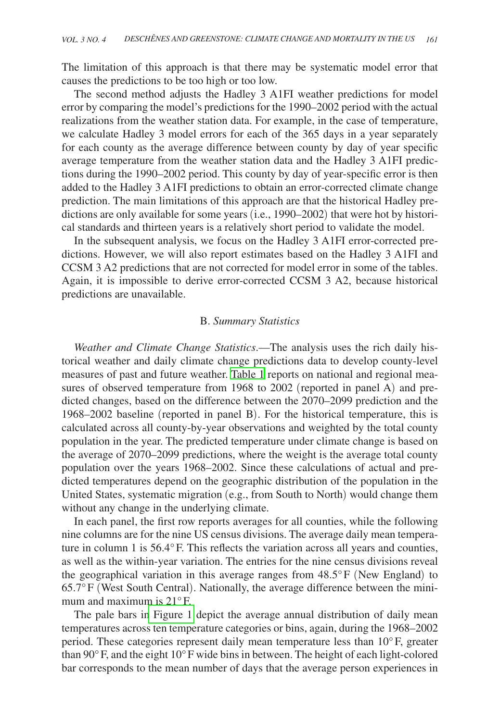<span id="page-9-0"></span>The limitation of this approach is that there may be systematic model error that causes the predictions to be too high or too low.

The second method adjusts the Hadley 3 A1FI weather predictions for model error by comparing the model's predictions for the 1990–2002 period with the actual realizations from the weather station data. For example, in the case of temperature, we calculate Hadley 3 model errors for each of the 365 days in a year separately for each county as the average difference between county by day of year specific average temperature from the weather station data and the Hadley 3 A1FI predictions during the 1990–2002 period. This county by day of year-specific error is then added to the Hadley 3 A1FI predictions to obtain an error-corrected climate change prediction. The main limitations of this approach are that the historical Hadley predictions are only available for some years (i.e., 1990–2002) that were hot by historical standards and thirteen years is a relatively short period to validate the model.

In the subsequent analysis, we focus on the Hadley 3 A1FI error-corrected predictions. However, we will also report estimates based on the Hadley 3 A1FI and CCSM 3 A2 predictions that are not corrected for model error in some of the tables. Again, it is impossible to derive error-corrected CCSM 3 A2, because historical predictions are unavailable.

# B. *Summary Statistics*

*Weather and Climate Change Statistics*.—The analysis uses the rich daily historical weather and daily climate change predictions data to develop county-level measures of past and future weather. [Table 1](#page-10-0) reports on national and regional measures of observed temperature from 1968 to 2002 (reported in panel A) and predicted changes, based on the difference between the 2070–2099 prediction and the 1968–2002 baseline (reported in panel B). For the historical temperature, this is calculated across all county-by-year observations and weighted by the total county population in the year. The predicted temperature under climate change is based on the average of 2070–2099 predictions, where the weight is the average total county population over the years 1968–2002. Since these calculations of actual and predicted temperatures depend on the geographic distribution of the population in the United States, systematic migration (e.g., from South to North) would change them without any change in the underlying climate.

In each panel, the first row reports averages for all counties, while the following nine columns are for the nine US census divisions. The average daily mean temperature in column 1 is 56.4°F. This reflects the variation across all years and counties, as well as the within-year variation. The entries for the nine census divisions reveal the geographical variation in this average ranges from 48.5°F (New England) to 65.7°F (West South Central). Nationally, the average difference between the minimum and maximum is 21°F.

The pale bars i[n Figure 1](#page-11-0) depict the average annual distribution of daily mean temperatures across ten temperature categories or bins, again, during the 1968–2002 period. These categories represent daily mean temperature less than 10°F, greater than 90°F, and the eight 10°F wide bins in between. The height of each light-colored bar corresponds to the mean number of days that the average person experiences in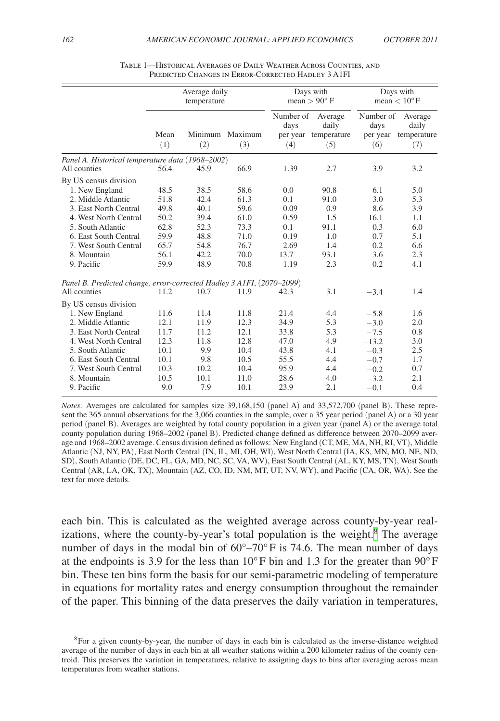<span id="page-10-0"></span>

|                                                                                                                                                                                                                     | Average daily<br>temperature                                         |                                                                      |                                                                      | Days with<br>mean $> 90^\circ$ F                                  | Days with<br>mean $< 10$ °F                                     |                                                                     |                                                             |
|---------------------------------------------------------------------------------------------------------------------------------------------------------------------------------------------------------------------|----------------------------------------------------------------------|----------------------------------------------------------------------|----------------------------------------------------------------------|-------------------------------------------------------------------|-----------------------------------------------------------------|---------------------------------------------------------------------|-------------------------------------------------------------|
|                                                                                                                                                                                                                     | Mean<br>(1)                                                          | (2)                                                                  | Minimum Maximum<br>(3)                                               | Number of<br>days<br>per year<br>(4)                              | Average<br>daily<br>temperature<br>(5)                          | Number of<br>days<br>per year<br>(6)                                | Average<br>daily<br>temperature<br>(7)                      |
| Panel A. Historical temperature data (1968–2002)                                                                                                                                                                    |                                                                      |                                                                      |                                                                      |                                                                   |                                                                 |                                                                     |                                                             |
| All counties                                                                                                                                                                                                        | 56.4                                                                 | 45.9                                                                 | 66.9                                                                 | 1.39                                                              | 2.7                                                             | 3.9                                                                 | 3.2                                                         |
| By US census division<br>1. New England<br>2. Middle Atlantic<br>3. East North Central<br>4. West North Central<br>5. South Atlantic<br>6. East South Central<br>7. West South Central<br>8. Mountain<br>9. Pacific | 48.5<br>51.8<br>49.8<br>50.2<br>62.8<br>59.9<br>65.7<br>56.1<br>59.9 | 38.5<br>42.4<br>40.1<br>39.4<br>52.3<br>48.8<br>54.8<br>42.2<br>48.9 | 58.6<br>61.3<br>59.6<br>61.0<br>73.3<br>71.0<br>76.7<br>70.0<br>70.8 | 0.0<br>0.1<br>0.09<br>0.59<br>0.1<br>0.19<br>2.69<br>13.7<br>1.19 | 90.8<br>91.0<br>0.9<br>1.5<br>91.1<br>1.0<br>1.4<br>93.1<br>2.3 | 6.1<br>3.0<br>8.6<br>16.1<br>0.3<br>0.7<br>0.2<br>3.6<br>0.2        | 5.0<br>5.3<br>3.9<br>1.1<br>6.0<br>5.1<br>6.6<br>2.3<br>4.1 |
| Panel B. Predicted change, error-corrected Hadley 3 A1FI, (2070-2099)                                                                                                                                               |                                                                      |                                                                      |                                                                      |                                                                   |                                                                 |                                                                     |                                                             |
| All counties                                                                                                                                                                                                        | 11.2                                                                 | 10.7                                                                 | 11.9                                                                 | 42.3                                                              | 3.1                                                             | $-3.4$                                                              | 1.4                                                         |
| By US census division<br>1. New England<br>2. Middle Atlantic<br>3. East North Central<br>4. West North Central<br>5. South Atlantic<br>6. East South Central<br>7. West South Central                              | 11.6<br>12.1<br>11.7<br>12.3<br>10.1<br>10.1<br>10.3                 | 11.4<br>11.9<br>11.2<br>11.8<br>9.9<br>9.8<br>10.2                   | 11.8<br>12.3<br>12.1<br>12.8<br>10.4<br>10.5<br>10.4                 | 21.4<br>34.9<br>33.8<br>47.0<br>43.8<br>55.5<br>95.9              | 4.4<br>5.3<br>5.3<br>4.9<br>4.1<br>4.4<br>4.4                   | $-5.8$<br>$-3.0$<br>$-7.5$<br>$-13.2$<br>$-0.3$<br>$-0.7$<br>$-0.2$ | 1.6<br>2.0<br>0.8<br>3.0<br>2.5<br>1.7<br>0.7               |
| 8. Mountain<br>9. Pacific                                                                                                                                                                                           | 10.5<br>9.0                                                          | 10.1<br>7.9                                                          | 11.0<br>10.1                                                         | 28.6<br>23.9                                                      | 4.0<br>2.1                                                      | $-3.2$<br>$-0.1$                                                    | 2.1<br>0.4                                                  |

Table 1—Historical Averages of Daily Weather Across Counties, and Predicted Changes in Error-Corrected Hadley 3 A1FI

*Notes:* Averages are calculated for samples size 39,168,150 (panel A) and 33,572,700 (panel B). These represent the 365 annual observations for the 3,066 counties in the sample, over a 35 year period (panel A) or a 30 year period (panel B). Averages are weighted by total county population in a given year (panel A) or the average total county population during 1968–2002 (panel B). Predicted change defined as difference between 2070–2099 average and 1968–2002 average. Census division defined as follows: New England (CT, ME, MA, NH, RI, VT), Middle Atlantic (NJ, NY, PA), East North Central (IN, IL, MI, OH, WI), West North Central (IA, KS, MN, MO, NE, ND, SD), South Atlantic (DE, DC, FL, GA, MD, NC, SC, VA, WV), East South Central (AL, KY, MS, TN), West South Central (AR, LA, OK, TX), Mountain (AZ, CO, ID, NM, MT, UT, NV, WY), and Pacific (CA, OR, WA). See the text for more details.

each bin. This is calculated as the weighted average across county-by-year real-izations, where the county-by-year's total population is the weight.<sup>[8](#page-10-1)</sup> The average number of days in the modal bin of 60°–70°F is 74.6. The mean number of days at the endpoints is 3.9 for the less than  $10^{\circ}$ F bin and 1.3 for the greater than  $90^{\circ}$ F bin. These ten bins form the basis for our semi-parametric modeling of temperature in equations for mortality rates and energy consumption throughout the remainder of the paper. This binning of the data preserves the daily variation in temperatures,

<span id="page-10-1"></span><sup>8</sup>For a given county-by-year, the number of days in each bin is calculated as the inverse-distance weighted average of the number of days in each bin at all weather stations within a 200 kilometer radius of the county centroid. This preserves the variation in temperatures, relative to assigning days to bins after averaging across mean temperatures from weather stations.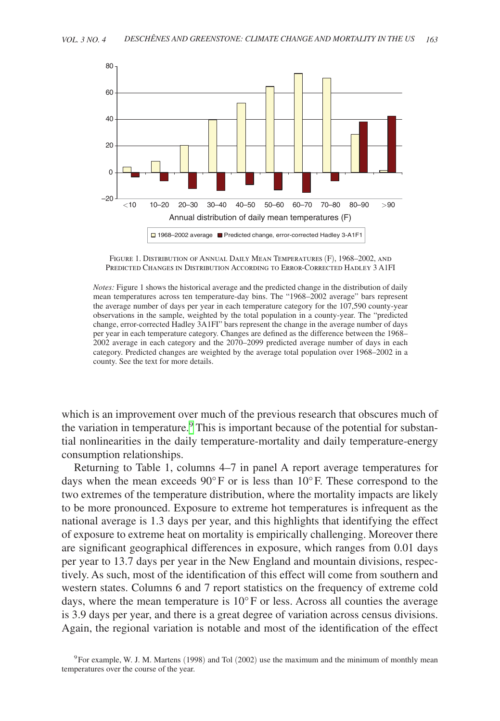<span id="page-11-0"></span>

Figure 1. Distribution of Annual Daily Mean Temperatures (F), 1968–2002, and Predicted Changes in Distribution According to Error-Corrected Hadley 3 A1FI

*Notes:* Figure 1 shows the historical average and the predicted change in the distribution of daily mean temperatures across ten temperature-day bins. The "1968–2002 average" bars represent the average number of days per year in each temperature category for the 107,590 county-year observations in the sample, weighted by the total population in a county-year. The "predicted change, error-corrected Hadley 3A1FI" bars represent the change in the average number of days per year in each temperature category. Changes are defined as the difference between the 1968– 2002 average in each category and the 2070–2099 predicted average number of days in each category. Predicted changes are weighted by the average total population over 1968–2002 in a county. See the text for more details.

which is an improvement over much of the previous research that obscures much of the variation in temperature.<sup>[9](#page-11-1)</sup> This is important because of the potential for substantial nonlinearities in the daily temperature-mortality and daily temperature-energy consumption relationships.

<span id="page-11-1"></span>Returning to Table 1, columns 4–7 in panel A report average temperatures for days when the mean exceeds 90°F or is less than 10°F. These correspond to the two extremes of the temperature distribution, where the mortality impacts are likely to be more pronounced. Exposure to extreme hot temperatures is infrequent as the national average is 1.3 days per year, and this highlights that identifying the effect of exposure to extreme heat on mortality is empirically challenging. Moreover there are significant geographical differences in exposure, which ranges from 0.01 days per year to 13.7 days per year in the New England and mountain divisions, respectively. As such, most of the identification of this effect will come from southern and western states. Columns 6 and 7 report statistics on the frequency of extreme cold days, where the mean temperature is 10°F or less. Across all counties the average is 3.9 days per year, and there is a great degree of variation across census divisions. Again, the regional variation is notable and most of the identification of the effect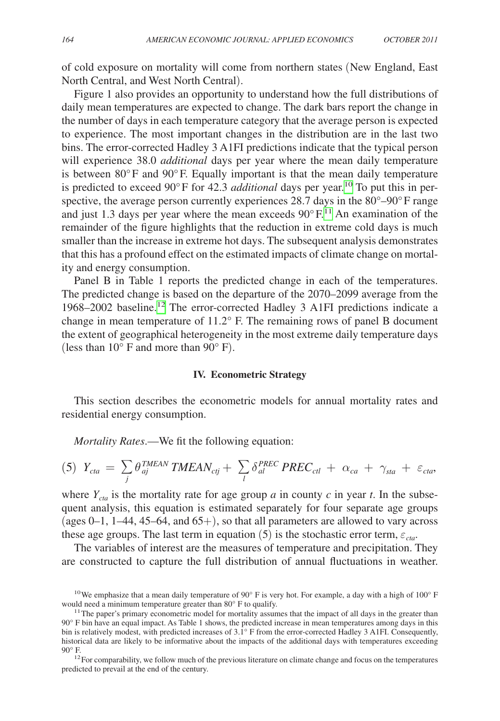<span id="page-12-0"></span>of cold exposure on mortality will come from northern states (New England, East North Central, and West North Central).

Figure 1 also provides an opportunity to understand how the full distributions of daily mean temperatures are expected to change. The dark bars report the change in the number of days in each temperature category that the average person is expected to experience. The most important changes in the distribution are in the last two bins. The error-corrected Hadley 3 A1FI predictions indicate that the typical person will experience 38.0 *additional* days per year where the mean daily temperature is between 80°F and 90°F. Equally important is that the mean daily temperature is predicted to exceed 90°F for 42.3 *additional* days per year.<sup>10</sup> To put this in perspective, the average person currently experiences 28.7 days in the  $80^{\circ}$ –90°F range and just 1.3 days per year where the mean exceeds  $90^{\circ}$  F.<sup>[11](#page-12-2)</sup> An examination of the remainder of the figure highlights that the reduction in extreme cold days is much smaller than the increase in extreme hot days. The subsequent analysis demonstrates that this has a profound effect on the estimated impacts of climate change on mortality and energy consumption.

Panel B in Table 1 reports the predicted change in each of the temperatures. The predicted change is based on the departure of the 2070–2099 average from the 1968–2002 baseline.[12](#page-12-3) The error-corrected Hadley 3 A1FI predictions indicate a change in mean temperature of 11.2° F. The remaining rows of panel B document the extent of geographical heterogeneity in the most extreme daily temperature days (less than  $10^{\circ}$  F and more than  $90^{\circ}$  F).

#### **IV. Econometric Strategy**

This section describes the econometric models for annual mortality rates and residential energy consumption.

*Mortality Rates*.—We fit the following equation:

(5) 
$$
Y_{cta} = \sum_{j} \theta_{aj}^{TMEAN} \text{TMEAN}_{ctj} + \sum_{l} \delta_{al}^{PREC} \text{PREC}_{ctl} + \alpha_{ca} + \gamma_{sta} + \varepsilon_{cta},
$$

where  $Y_{cta}$  is the mortality rate for age group *a* in county *c* in year *t*. In the subsequent analysis, this equation is estimated separately for four separate age groups (ages  $0-1$ ,  $1-44$ ,  $45-64$ , and  $65+$ ), so that all parameters are allowed to vary across these age groups. The last term in equation (5) is the stochastic error term,  $\varepsilon_{cta}$ .

The variables of interest are the measures of temperature and precipitation. They are constructed to capture the full distribution of annual fluctuations in weather.

<span id="page-12-1"></span><sup>&</sup>lt;sup>10</sup>We emphasize that a mean daily temperature of 90 $\degree$  F is very hot. For example, a day with a high of 100 $\degree$  F would need a minimum temperature greater than 80 $\degree$  F to qualify.

<span id="page-12-2"></span> $11$  The paper's primary econometric model for mortality assumes that the impact of all days in the greater than 90° F bin have an equal impact. As Table 1 shows, the predicted increase in mean temperatures among days in this bin is relatively modest, with predicted increases of 3.1° F from the error-corrected Hadley 3 A1FI. Consequently, historical data are likely to be informative about the impacts of the additional days with temperatures exceeding 90° F.<br><sup>12</sup>For comparability, we follow much of the previous literature on climate change and focus on the temperatures

<span id="page-12-3"></span>predicted to prevail at the end of the century.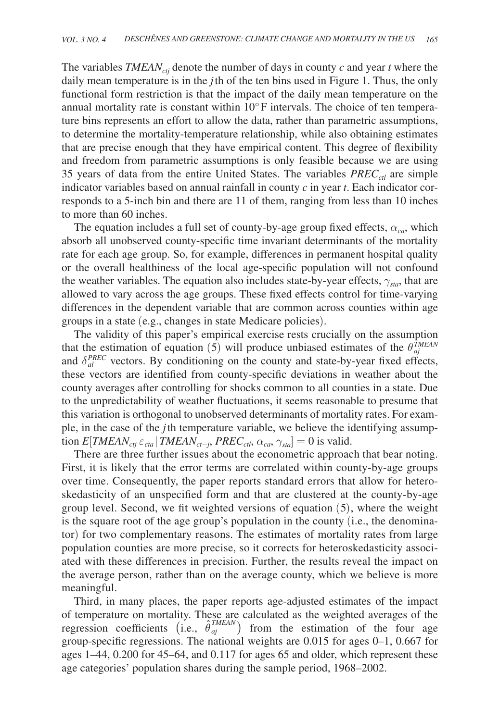The variables  $TMEAN<sub>cri</sub>$  denote the number of days in county  $c$  and year  $t$  where the daily mean temperature is in the *j*th of the ten bins used in Figure 1. Thus, the only functional form restriction is that the impact of the daily mean temperature on the annual mortality rate is constant within 10°F intervals. The choice of ten temperature bins represents an effort to allow the data, rather than parametric assumptions, to determine the mortality-temperature relationship, while also obtaining estimates that are precise enough that they have empirical content. This degree of flexibility and freedom from parametric assumptions is only feasible because we are using 35 years of data from the entire United States. The variables *PREC<sub>ctl</sub>* are simple indicator variables based on annual rainfall in county *c* in year *t*. Each indicator corresponds to a 5-inch bin and there are 11 of them, ranging from less than 10 inches to more than 60 inches.

The equation includes a full set of county-by-age group fixed effects,  $\alpha_{ca}$ , which absorb all unobserved county-specific time invariant determinants of the mortality rate for each age group. So, for example, differences in permanent hospital quality or the overall healthiness of the local age-specific population will not confound the weather variables. The equation also includes state-by-year effects,  $\gamma_{sta}$ , that are allowed to vary across the age groups. These fixed effects control for time-varying differences in the dependent variable that are common across counties within age groups in a state (e.g., changes in state Medicare policies).

The validity of this paper's empirical exercise rests crucially on the assumption that the estimation of equation (5) will produce unbiased estimates of the  $\theta_{ij}^{TMEAN}$ and  $\delta_{al}^{PREC}$  vectors. By conditioning on the county and state-by-year fixed effects, these vectors are identified from county-specific deviations in weather about the county averages after controlling for shocks common to all counties in a state. Due to the unpredictability of weather fluctuations, it seems reasonable to presume that this variation is orthogonal to unobserved determinants of mortality rates. For example, in the case of the *j*th temperature variable, we believe the identifying assumption  $E[*TIMEAN*<sub>ctj</sub> \varepsilon<sub>cta</sub> | *TIMEAN*<sub>ct-j</sub>, *PREC*<sub>ctl</sub>, \alpha<sub>ca</sub>, \gamma<sub>sta</sub>] = 0$  is valid.

There are three further issues about the econometric approach that bear noting. First, it is likely that the error terms are correlated within county-by-age groups over time. Consequently, the paper reports standard errors that allow for heteroskedasticity of an unspecified form and that are clustered at the county-by-age group level. Second, we fit weighted versions of equation (5), where the weight is the square root of the age group's population in the county (i.e., the denominator) for two complementary reasons. The estimates of mortality rates from large population counties are more precise, so it corrects for heteroskedasticity associated with these differences in precision. Further, the results reveal the impact on the average person, rather than on the average county, which we believe is more meaningful.

Third, in many places, the paper reports age-adjusted estimates of the impact of temperature on mortality. These are calculated as the weighted averages of the regression coefficients (i.e.,  $\hat{\theta}_{aj}^{TMEAN}$ ) from the estimation of the four age group-specific regressions. The national weights are 0.015 for ages 0–1, 0.667 for ages 1–44, 0.200 for 45–64, and 0.117 for ages 65 and older, which represent these age categories' population shares during the sample period, 1968–2002.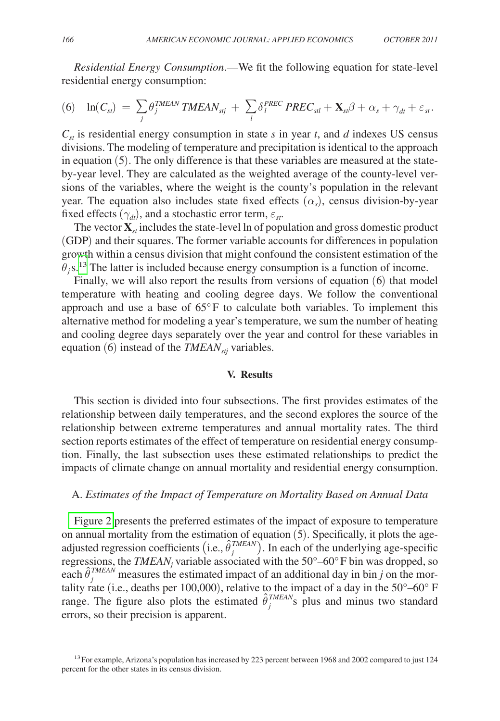<span id="page-14-0"></span>*Residential Energy Consumption*.—We fit the following equation for state-level residential energy consumption:

(6) 
$$
\ln(C_{st}) = \sum_j \theta_j^{TMEAN} \text{TMEAN}_{stj} + \sum_l \delta_l^{PREC} \text{PREC}_{stl} + \mathbf{X}_{st} \beta + \alpha_s + \gamma_{dt} + \varepsilon_{st}.
$$

 $C_{st}$  is residential energy consumption in state  $s$  in year  $t$ , and  $d$  indexes US census divisions. The modeling of temperature and precipitation is identical to the approach in equation (5). The only difference is that these variables are measured at the stateby-year level. They are calculated as the weighted average of the county-level versions of the variables, where the weight is the county's population in the relevant year. The equation also includes state fixed effects  $(\alpha_s)$ , census division-by-year fixed effects ( $\gamma_{dt}$ ), and a stochastic error term,  $\varepsilon_{st}$ .

The vector  $\mathbf{X}_{st}$  includes the state-level ln of population and gross domestic product (GDP) and their squares. The former variable accounts for differences in population growth within a census division that might confound the consistent estimation of the  $\theta_i$ s.<sup>13</sup> The latter is included because energy consumption is a function of income.

Finally, we will also report the results from versions of equation (6) that model temperature with heating and cooling degree days. We follow the conventional approach and use a base of 65°F to calculate both variables. To implement this alternative method for modeling a year's temperature, we sum the number of heating and cooling degree days separately over the year and control for these variables in equation  $(6)$  instead of the *TMEAN<sub>sti</sub>* variables.

#### **V. Results**

This section is divided into four subsections. The first provides estimates of the relationship between daily temperatures, and the second explores the source of the relationship between extreme temperatures and annual mortality rates. The third section reports estimates of the effect of temperature on residential energy consumption. Finally, the last subsection uses these estimated relationships to predict the impacts of climate change on annual mortality and residential energy consumption.

### A. *Estimates of the Impact of Temperature on Mortality Based on Annual Data*

[Figure 2](#page-15-0) presents the preferred estimates of the impact of exposure to temperature on annual mortality from the estimation of equation (5). Specifically, it plots the ageadjusted regression coefficients (i.e.,  $\hat{\theta}_j^{TMEAN}$ ). In each of the underlying age-specific regressions, the *TMEAN<sub>i</sub>* variable associated with the  $50^{\circ}$ –60°F bin was dropped, so each  $\hat{\theta}^{TMEAN}_{j}$  measures the estimated impact of an additional day in bin *j* on the mortality rate (i.e., deaths per 100,000), relative to the impact of a day in the 50°–60° F range. The figure also plots the estimated  $\hat{\theta}_{j}^{TMEAN}$  plus and minus two standard errors, so their precision is apparent.

<span id="page-14-1"></span><sup>&</sup>lt;sup>13</sup>For example, Arizona's population has increased by 223 percent between 1968 and 2002 compared to just 124 percent for the other states in its census division.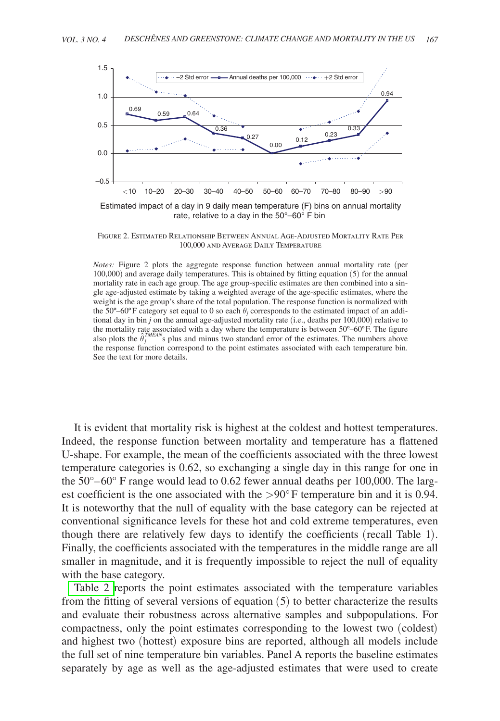<span id="page-15-0"></span>

rate, relative to a day in the 50°–60° F bin

Figure 2. Estimated Relationship Between Annual Age-Adjusted Mortality Rate Per 100,000 and Average Daily Temperature

*Notes:* Figure 2 plots the aggregate response function between annual mortality rate (per 100,000) and average daily temperatures. This is obtained by fitting equation (5) for the annual mortality rate in each age group. The age group-specific estimates are then combined into a single age-adjusted estimate by taking a weighted average of the age-specific estimates, where the weight is the age group's share of the total population. The response function is normalized with the 50°–60°F category set equal to 0 so each  $\theta_j$  corresponds to the estimated impact of an additional day in bin *j* on the annual age-adjusted mortality rate (i.e., deaths per 100,000) relative to the mortality rate associated with a day where the temperature is between 50°–60°F. The figure also plots the  $\hat{\theta}_j^{TMEMS}$  plus and minus two standard error of the estimates. The numbers above the response function correspond to the point estimates associated with each temperature bin. See the text for more details.

It is evident that mortality risk is highest at the coldest and hottest temperatures. Indeed, the response function between mortality and temperature has a flattened U-shape. For example, the mean of the coefficients associated with the three lowest temperature categories is 0.62, so exchanging a single day in this range for one in the 50°–60° F range would lead to 0.62 fewer annual deaths per 100,000. The largest coefficient is the one associated with the  $> 90^{\circ}$  F temperature bin and it is 0.94. It is noteworthy that the null of equality with the base category can be rejected at conventional significance levels for these hot and cold extreme temperatures, even though there are relatively few days to identify the coefficients (recall Table 1). Finally, the coefficients associated with the temperatures in the middle range are all smaller in magnitude, and it is frequently impossible to reject the null of equality with the base category.

[Table 2 r](#page-16-0)eports the point estimates associated with the temperature variables from the fitting of several versions of equation (5) to better characterize the results and evaluate their robustness across alternative samples and subpopulations. For compactness, only the point estimates corresponding to the lowest two (coldest) and highest two (hottest) exposure bins are reported, although all models include the full set of nine temperature bin variables. Panel A reports the baseline estimates separately by age as well as the age-adjusted estimates that were used to create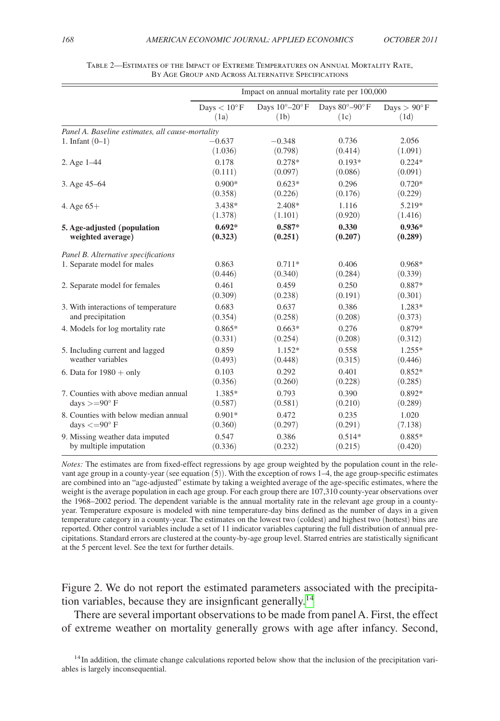<span id="page-16-0"></span>

|                                                  | Impact on annual mortality rate per 100,000 |                                |                              |                       |  |  |
|--------------------------------------------------|---------------------------------------------|--------------------------------|------------------------------|-----------------------|--|--|
|                                                  | Days $< 10$ °F                              | Days $10^{\circ}-20^{\circ}$ F | Days $80^\circ - 90^\circ$ F | Days $> 90^{\circ}$ F |  |  |
|                                                  | (1a)                                        | (1b)                           | (1c)                         | (1d)                  |  |  |
| Panel A. Baseline estimates, all cause-mortality |                                             |                                |                              |                       |  |  |
| 1. Infant $(0-1)$                                | $-0.637$                                    | $-0.348$                       | 0.736                        | 2.056                 |  |  |
|                                                  | (1.036)                                     | (0.798)                        | (0.414)                      | (1.091)               |  |  |
| 2. Age 1-44                                      | 0.178                                       | $0.278*$                       | $0.193*$                     | $0.224*$              |  |  |
|                                                  | (0.111)                                     | (0.097)                        | (0.086)                      | (0.091)               |  |  |
| 3. Age 45-64                                     | $0.900*$                                    | $0.623*$                       | 0.296                        | $0.720*$              |  |  |
|                                                  | (0.358)                                     | (0.226)                        | (0.176)                      | (0.229)               |  |  |
| 4. Age $65+$                                     | 3.438*                                      | 2.408*                         | 1.116                        | 5.219*                |  |  |
|                                                  | (1.378)                                     | (1.101)                        | (0.920)                      | (1.416)               |  |  |
| 5. Age-adjusted (population                      | $0.692*$                                    | $0.587*$                       | 0.330                        | $0.936*$              |  |  |
| weighted average)                                | (0.323)                                     | (0.251)                        | (0.207)                      | (0.289)               |  |  |
| Panel B. Alternative specifications              |                                             |                                |                              |                       |  |  |
| 1. Separate model for males                      | 0.863                                       | $0.711*$                       | 0.406                        | $0.968*$              |  |  |
|                                                  | (0.446)                                     | (0.340)                        | (0.284)                      | (0.339)               |  |  |
| 2. Separate model for females                    | 0.461                                       | 0.459                          | 0.250                        | 0.887*                |  |  |
|                                                  | (0.309)                                     | (0.238)                        | (0.191)                      | (0.301)               |  |  |
| 3. With interactions of temperature              | 0.683                                       | 0.637                          | 0.386                        | 1.283*                |  |  |
| and precipitation                                | (0.354)                                     | (0.258)                        | (0.208)                      | (0.373)               |  |  |
| 4. Models for log mortality rate                 | $0.865*$                                    | $0.663*$                       | 0.276                        | 0.879*                |  |  |
|                                                  | (0.331)                                     | (0.254)                        | (0.208)                      | (0.312)               |  |  |
| 5. Including current and lagged                  | 0.859                                       | 1.152*                         | 0.558                        | $1.255*$              |  |  |
| weather variables                                | (0.493)                                     | (0.448)                        | (0.315)                      | (0.446)               |  |  |
| 6. Data for $1980 +$ only                        | 0.103                                       | 0.292                          | 0.401                        | $0.852*$              |  |  |
|                                                  | (0.356)                                     | (0.260)                        | (0.228)                      | (0.285)               |  |  |
| 7. Counties with above median annual             | 1.385*                                      | 0.793                          | 0.390                        | $0.892*$              |  |  |
| days $>=90^{\circ} F$                            | (0.587)                                     | (0.581)                        | (0.210)                      | (0.289)               |  |  |
| 8. Counties with below median annual             | $0.901*$                                    | 0.472                          | 0.235                        | 1.020                 |  |  |
| days $\langle =90^{\circ}$ F                     | (0.360)                                     | (0.297)                        | (0.291)                      | (7.138)               |  |  |
| 9. Missing weather data imputed                  | 0.547                                       | 0.386                          | $0.514*$                     | $0.885*$              |  |  |
| by multiple imputation                           | (0.336)                                     | (0.232)                        | (0.215)                      | (0.420)               |  |  |

Table 2—Estimates of the Impact of Extreme Temperatures on Annual Mortality Rate, By Age Group and Across Alternative Specifications

*Notes:* The estimates are from fixed-effect regressions by age group weighted by the population count in the relevant age group in a county-year (see equation  $(5)$ ). With the exception of rows 1–4, the age group-specific estimates are combined into an "age-adjusted" estimate by taking a weighted average of the age-specific estimates, where the weight is the average population in each age group. For each group there are 107,310 county-year observations over the 1968–2002 period. The dependent variable is the annual mortality rate in the relevant age group in a countyyear. Temperature exposure is modeled with nine temperature-day bins defined as the number of days in a given temperature category in a county-year. The estimates on the lowest two (coldest) and highest two (hottest) bins are reported. Other control variables include a set of 11 indicator variables capturing the full distribution of annual precipitations. Standard errors are clustered at the county-by-age group level. Starred entries are statistically significant at the 5 percent level. See the text for further details.

Figure 2. We do not report the estimated parameters associated with the precipitation variables, because they are insignficant generally.<sup>14</sup>

There are several important observations to be made from panel A. First, the effect of extreme weather on mortality generally grows with age after infancy. Second,

<span id="page-16-1"></span><sup>14</sup>In addition, the climate change calculations reported below show that the inclusion of the precipitation variables is largely inconsequential.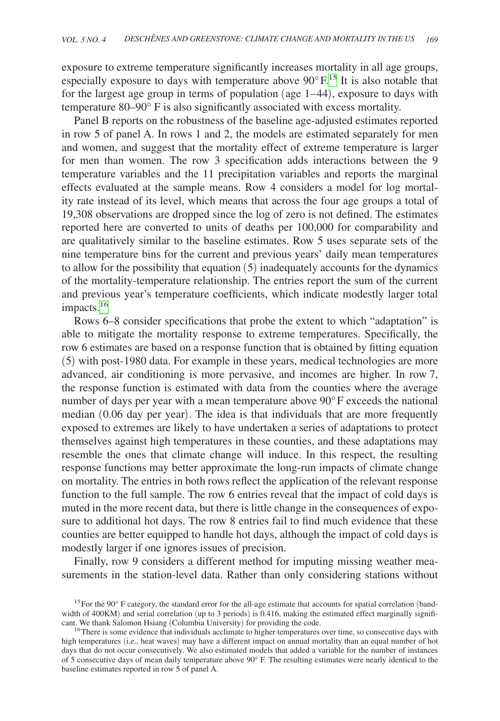exposure to extreme temperature significantly increases mortality in all age groups, especially exposure to days with temperature above  $90^{\circ}$  F.<sup>15</sup> It is also notable that for the largest age group in terms of population (age 1– 44), exposure to days with temperature 80–90° F is also significantly associated with excess mortality.

Panel B reports on the robustness of the baseline age-adjusted estimates reported in row 5 of panel A. In rows 1 and 2, the models are estimated separately for men and women, and suggest that the mortality effect of extreme temperature is larger for men than women. The row 3 specification adds interactions between the 9 temperature variables and the 11 precipitation variables and reports the marginal effects evaluated at the sample means. Row 4 considers a model for log mortality rate instead of its level, which means that across the four age groups a total of 19,308 observations are dropped since the log of zero is not defined. The estimates reported here are converted to units of deaths per 100,000 for comparability and are qualitatively similar to the baseline estimates. Row 5 uses separate sets of the nine temperature bins for the current and previous years' daily mean temperatures to allow for the possibility that equation (5) inadequately accounts for the dynamics of the mortality-temperature relationship. The entries report the sum of the current and previous year's temperature coefficients, which indicate modestly larger total impacts.<sup>[16](#page-17-1)</sup>

Rows 6–8 consider specifications that probe the extent to which "adaptation" is able to mitigate the mortality response to extreme temperatures. Specifically, the row 6 estimates are based on a response function that is obtained by fitting equation (5) with post-1980 data. For example in these years, medical technologies are more advanced, air conditioning is more pervasive, and incomes are higher. In row 7, the response function is estimated with data from the counties where the average number of days per year with a mean temperature above 90°F exceeds the national median (0.06 day per year). The idea is that individuals that are more frequently exposed to extremes are likely to have undertaken a series of adaptations to protect themselves against high temperatures in these counties, and these adaptations may resemble the ones that climate change will induce. In this respect, the resulting response functions may better approximate the long-run impacts of climate change on mortality. The entries in both rows reflect the application of the relevant response function to the full sample. The row 6 entries reveal that the impact of cold days is muted in the more recent data, but there is little change in the consequences of exposure to additional hot days. The row 8 entries fail to find much evidence that these counties are better equipped to handle hot days, although the impact of cold days is modestly larger if one ignores issues of precision.

Finally, row 9 considers a different method for imputing missing weather measurements in the station-level data. Rather than only considering stations without

<span id="page-17-0"></span><sup>&</sup>lt;sup>15</sup>For the 90 $\degree$  F category, the standard error for the all-age estimate that accounts for spatial correlation (bandwidth of 400KM) and serial correlation (up to 3 periods) is 0.416, making the estimated effect marginally significant. We thank Salomon Hsiang (Columbia University) for providing the code.

<span id="page-17-1"></span> $<sup>16</sup>$  There is some evidence that individuals acclimate to higher temperatures over time, so consecutive days with</sup> high temperatures (i.e., heat waves) may have a different impact on annual mortality than an equal number of hot days that do not occur consecutively. We also estimated models that added a variable for the number of instances of 5 consecutive days of mean daily temperature above 90° F. The resulting estimates were nearly identical to the baseline estimates reported in row 5 of panel A.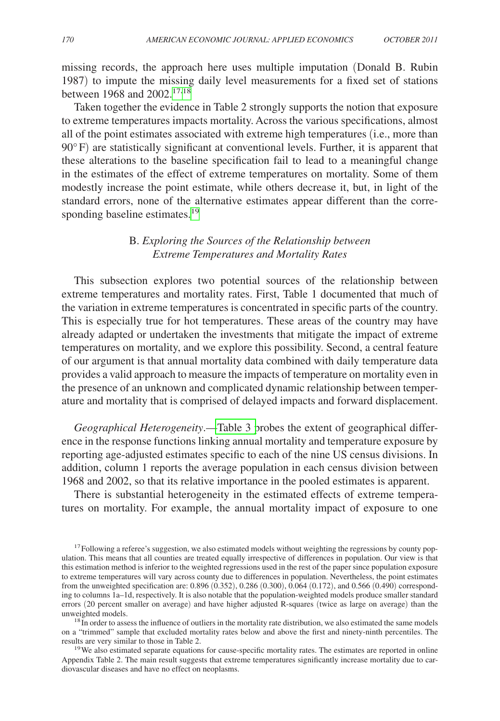<span id="page-18-0"></span>missing records, the approach here uses multiple imputation (Donald B. Rubin 1987) to impute the missing daily level measurements for a fixed set of stations between 1968 and 2002.[17,](#page-18-1)[18](#page-18-2)

Taken together the evidence in Table 2 strongly supports the notion that exposure to extreme temperatures impacts mortality. Across the various specifications, almost all of the point estimates associated with extreme high temperatures (i.e., more than 90°F) are statistically significant at conventional levels. Further, it is apparent that these alterations to the baseline specification fail to lead to a meaningful change in the estimates of the effect of extreme temperatures on mortality. Some of them modestly increase the point estimate, while others decrease it, but, in light of the standard errors, none of the alternative estimates appear different than the corre-sponding baseline estimates.<sup>[19](#page-18-3)</sup>

# B. *Exploring the Sources of the Relationship between Extreme Temperatures and Mortality Rates*

This subsection explores two potential sources of the relationship between extreme temperatures and mortality rates. First, Table 1 documented that much of the variation in extreme temperatures is concentrated in specific parts of the country. This is especially true for hot temperatures. These areas of the country may have already adapted or undertaken the investments that mitigate the impact of extreme temperatures on mortality, and we explore this possibility. Second, a central feature of our argument is that annual mortality data combined with daily temperature data provides a valid approach to measure the impacts of temperature on mortality even in the presence of an unknown and complicated dynamic relationship between temperature and mortality that is comprised of delayed impacts and forward displacement.

*Geographical Heterogeneity*.[—Table 3 p](#page-19-0)robes the extent of geographical difference in the response functions linking annual mortality and temperature exposure by reporting age-adjusted estimates specific to each of the nine US census divisions. In addition, column 1 reports the average population in each census division between 1968 and 2002, so that its relative importance in the pooled estimates is apparent.

There is substantial heterogeneity in the estimated effects of extreme temperatures on mortality. For example, the annual mortality impact of exposure to one

<span id="page-18-2"></span> $18$ In order to assess the influence of outliers in the mortality rate distribution, we also estimated the same models on a "trimmed" sample that excluded mortality rates below and above the first and ninety-ninth percentiles. The results are very similar to those in Table 2.<br><sup>19</sup>We also estimated separate equations for cause-specific mortality rates. The estimates are reported in online

<span id="page-18-3"></span>Appendix Table 2. The main result suggests that extreme temperatures significantly increase mortality due to cardiovascular diseases and have no effect on neoplasms.

<span id="page-18-1"></span><sup>&</sup>lt;sup>17</sup> Following a referee's suggestion, we also estimated models without weighting the regressions by county population. This means that all counties are treated equally irrespective of differences in population. Our view is that this estimation method is inferior to the weighted regressions used in the rest of the paper since population exposure to extreme temperatures will vary across county due to differences in population. Nevertheless, the point estimates from the unweighted specification are: 0.896 (0.352), 0.286 (0.300), 0.064 (0.172), and 0.566 (0.490) corresponding to columns 1a–1d, respectively. It is also notable that the population-weighted models produce smaller standard errors (20 percent smaller on average) and have higher adjusted R-squares (twice as large on average) than the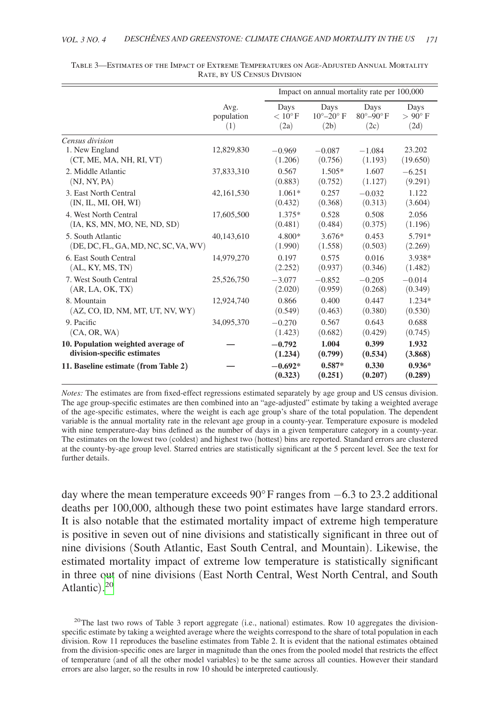|                                      |              |                      | Impact on annual mortality rate per 100,000 |                         |                     |  |
|--------------------------------------|--------------|----------------------|---------------------------------------------|-------------------------|---------------------|--|
|                                      | Avg.         | Days                 | Days                                        | Days                    | Days                |  |
|                                      | population   | $< 10^{\circ}$ F     | $10^{\circ}-20^{\circ}$ F                   | $80^\circ - 90^\circ$ F | $>90^{\circ}$ F     |  |
|                                      | (1)          | (2a)                 | (2b)                                        | (2c)                    | (2d)                |  |
| Census division                      |              |                      |                                             |                         |                     |  |
| 1. New England                       | 12,829,830   | $-0.969$             | $-0.087$                                    | $-1.084$                | 23.202              |  |
| (CT, ME, MA, NH, RI, VT)             |              | (1.206)              | (0.756)                                     | (1.193)                 | (19.650)            |  |
| 2. Middle Atlantic                   | 37,833,310   | 0.567                | 1.505*                                      | 1.607                   | $-6.251$            |  |
| (NJ, NY, PA)                         |              | (0.883)              | (0.752)                                     | (1.127)                 | (9.291)             |  |
| 3. East North Central                | 42, 161, 530 | $1.061*$             | 0.257                                       | $-0.032$                | 1.122               |  |
| (IN, IL, MI, OH, WI)                 |              | (0.432)              | (0.368)                                     | (0.313)                 | (3.604)             |  |
| 4. West North Central                | 17,605,500   | 1.375*               | 0.528                                       | 0.508                   | 2.056               |  |
| (IA, KS, MN, MO, NE, ND, SD)         |              | (0.481)              | (0.484)                                     | (0.375)                 | (1.196)             |  |
| 5. South Atlantic                    | 40,143,610   | 4.800*               | 3.676*                                      | 0.453                   | 5.791*              |  |
| (DE, DC, FL, GA, MD, NC, SC, VA, WV) |              | (1.990)              | (1.558)                                     | (0.503)                 | (2.269)             |  |
| 6. East South Central                | 14,979,270   | 0.197                | 0.575                                       | 0.016                   | 3.938*              |  |
| (AL, KY, MS, TN)                     |              | (2.252)              | (0.937)                                     | (0.346)                 | (1.482)             |  |
| 7. West South Central                | 25,526,750   | $-3.077$             | $-0.852$                                    | $-0.205$                | $-0.014$            |  |
| (AR, LA, OK, TX)                     |              | (2.020)              | (0.959)                                     | (0.268)                 | (0.349)             |  |
| 8. Mountain                          | 12,924,740   | 0.866                | 0.400                                       | 0.447                   | 1.234*              |  |
| (AZ, CO, ID, NM, MT, UT, NV, WY)     |              | (0.549)              | (0.463)                                     | (0.380)                 | (0.530)             |  |
| 9. Pacific                           | 34,095,370   | $-0.270$             | 0.567                                       | 0.643                   | 0.688               |  |
| (CA, OR, WA)                         |              | (1.423)              | (0.682)                                     | (0.429)                 | (0.745)             |  |
| 10. Population weighted average of   |              | $-0.792$             | 1.004                                       | 0.399                   | 1.932               |  |
| division-specific estimates          |              | (1.234)              | (0.799)                                     | (0.534)                 | (3.868)             |  |
| 11. Baseline estimate (from Table 2) |              | $-0.692*$<br>(0.323) | $0.587*$<br>(0.251)                         | 0.330<br>(0.207)        | $0.936*$<br>(0.289) |  |

<span id="page-19-0"></span>Table 3—Estimates of the Impact of Extreme Temperatures on Age-Adjusted Annual Mortality Rate, by US Census Division

*Notes:* The estimates are from fixed-effect regressions estimated separately by age group and US census division. The age group-specific estimates are then combined into an "age-adjusted" estimate by taking a weighted average of the age-specific estimates, where the weight is each age group's share of the total population. The dependent variable is the annual mortality rate in the relevant age group in a county-year. Temperature exposure is modeled with nine temperature-day bins defined as the number of days in a given temperature category in a county-year. The estimates on the lowest two (coldest) and highest two (hottest) bins are reported. Standard errors are clustered at the county-by-age group level. Starred entries are statistically significant at the 5 percent level. See the text for further details.

day where the mean temperature exceeds  $90^{\circ}$  F ranges from  $-6.3$  to 23.2 additional deaths per 100,000, although these two point estimates have large standard errors. It is also notable that the estimated mortality impact of extreme high temperature is positive in seven out of nine divisions and statistically significant in three out of nine divisions (South Atlantic, East South Central, and Mountain). Likewise, the estimated mortality impact of extreme low temperature is statistically significant in three out of nine divisions (East North Central, West North Central, and South Atlantic). [20](#page-19-1)

<span id="page-19-1"></span><sup>20</sup>The last two rows of Table 3 report aggregate (i.e., national) estimates. Row 10 aggregates the divisionspecific estimate by taking a weighted average where the weights correspond to the share of total population in each division. Row 11 reproduces the baseline estimates from Table 2. It is evident that the national estimates obtained from the division-specific ones are larger in magnitude than the ones from the pooled model that restricts the effect of temperature (and of all the other model variables) to be the same across all counties. However their standard errors are also larger, so the results in row 10 should be interpreted cautiously.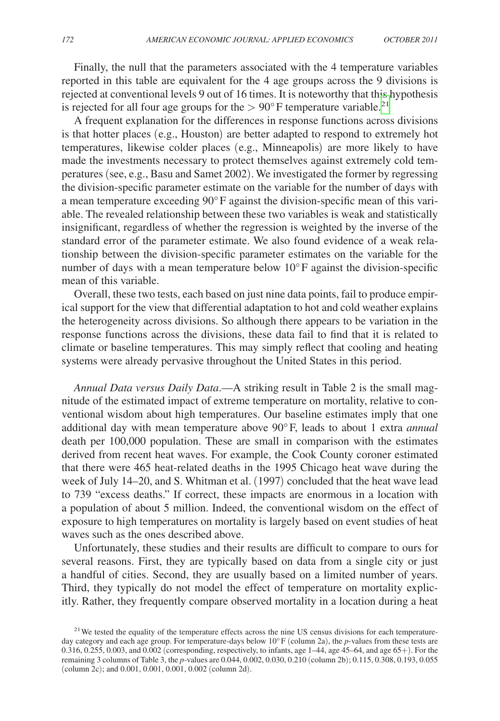Finally, the null that the parameters associated with the 4 temperature variables reported in this table are equivalent for the 4 age groups across the 9 divisions is rejected at conventional levels 9 out of 16 times. It is noteworthy that this hypothesis is rejected for all four age groups for the  $> 90^{\circ}$  F temperature variable.<sup>[21](#page-20-0)</sup>

A frequent explanation for the differences in response functions across divisions is that hotter places (e.g., Houston) are better adapted to respond to extremely hot temperatures, likewise colder places (e.g., Minneapolis) are more likely to have made the investments necessary to protect themselves against extremely cold temperatures (see, e.g., Basu and Samet 2002). We investigated the former by regressing the division-specific parameter estimate on the variable for the number of days with a mean temperature exceeding 90°F against the division-specific mean of this variable. The revealed relationship between these two variables is weak and statistically insignificant, regardless of whether the regression is weighted by the inverse of the standard error of the parameter estimate. We also found evidence of a weak relationship between the division-specific parameter estimates on the variable for the number of days with a mean temperature below 10°F against the division-specific mean of this variable.

Overall, these two tests, each based on just nine data points, fail to produce empirical support for the view that differential adaptation to hot and cold weather explains the heterogeneity across divisions. So although there appears to be variation in the response functions across the divisions, these data fail to find that it is related to climate or baseline temperatures. This may simply reflect that cooling and heating systems were already pervasive throughout the United States in this period.

*Annual Data versus Daily Data*.—A striking result in Table 2 is the small magnitude of the estimated impact of extreme temperature on mortality, relative to conventional wisdom about high temperatures. Our baseline estimates imply that one additional day with mean temperature above 90°F, leads to about 1 extra *annual* death per 100,000 population. These are small in comparison with the estimates derived from recent heat waves. For example, the Cook County coroner estimated that there were 465 heat-related deaths in the 1995 Chicago heat wave during the week of July 14–20, and S. Whitman et al. (1997) concluded that the heat wave lead to 739 "excess deaths." If correct, these impacts are enormous in a location with a population of about 5 million. Indeed, the conventional wisdom on the effect of exposure to high temperatures on mortality is largely based on event studies of heat waves such as the ones described above.

Unfortunately, these studies and their results are difficult to compare to ours for several reasons. First, they are typically based on data from a single city or just a handful of cities. Second, they are usually based on a limited number of years. Third, they typically do not model the effect of temperature on mortality explicitly. Rather, they frequently compare observed mortality in a location during a heat

<span id="page-20-0"></span> $21$  We tested the equality of the temperature effects across the nine US census divisions for each temperatureday category and each age group. For temperature-days below 10°F (column 2a), the *p*-values from these tests are 0.316, 0.255, 0.003, and 0.002 (corresponding, respectively, to infants, age 1–44, age 45–64, and age 65+). For the remaining 3 columns of Table 3, the *p*-values are 0.044, 0.002, 0.030, 0.210 (column 2b); 0.115, 0.308, 0.193, 0.055 (column 2c); and 0.001, 0.001, 0.001, 0.002 (column 2d).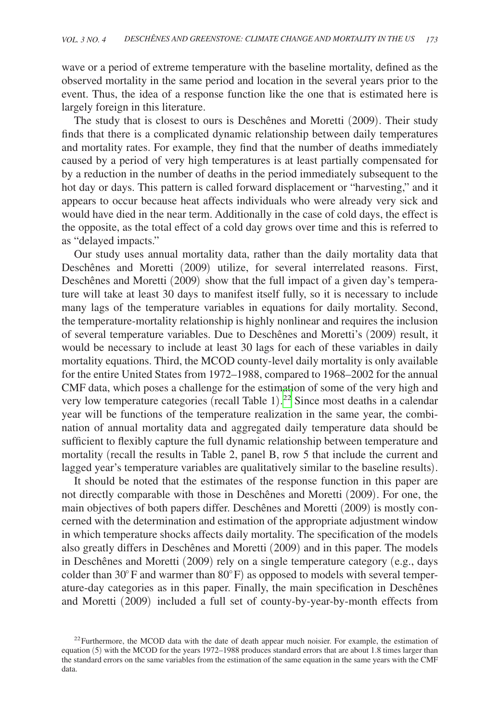wave or a period of extreme temperature with the baseline mortality, defined as the observed mortality in the same period and location in the several years prior to the event. Thus, the idea of a response function like the one that is estimated here is largely foreign in this literature.

The study that is closest to ours is Deschênes and Moretti (2009). Their study finds that there is a complicated dynamic relationship between daily temperatures and mortality rates. For example, they find that the number of deaths immediately caused by a period of very high temperatures is at least partially compensated for by a reduction in the number of deaths in the period immediately subsequent to the hot day or days. This pattern is called forward displacement or "harvesting," and it appears to occur because heat affects individuals who were already very sick and would have died in the near term. Additionally in the case of cold days, the effect is the opposite, as the total effect of a cold day grows over time and this is referred to as "delayed impacts."

Our study uses annual mortality data, rather than the daily mortality data that Deschênes and Moretti (2009) utilize, for several interrelated reasons. First, Deschênes and Moretti (2009) show that the full impact of a given day's temperature will take at least 30 days to manifest itself fully, so it is necessary to include many lags of the temperature variables in equations for daily mortality. Second, the temperature-mortality relationship is highly nonlinear and requires the inclusion of several temperature variables. Due to Deschênes and Moretti's (2009) result, it would be necessary to include at least 30 lags for each of these variables in daily mortality equations. Third, the MCOD county-level daily mortality is only available for the entire United States from 1972–1988, compared to 1968–2002 for the annual CMF data, which poses a challenge for the estimation of some of the very high and very low temperature categories (recall Table 1). [22](#page-21-0) Since most deaths in a calendar year will be functions of the temperature realization in the same year, the combination of annual mortality data and aggregated daily temperature data should be sufficient to flexibly capture the full dynamic relationship between temperature and mortality (recall the results in Table 2, panel B, row 5 that include the current and lagged year's temperature variables are qualitatively similar to the baseline results).

It should be noted that the estimates of the response function in this paper are not directly comparable with those in Deschênes and Moretti (2009). For one, the main objectives of both papers differ. Deschênes and Moretti (2009) is mostly concerned with the determination and estimation of the appropriate adjustment window in which temperature shocks affects daily mortality. The specification of the models also greatly differs in Deschênes and Moretti (2009) and in this paper. The models in Deschênes and Moretti (2009) rely on a single temperature category (e.g., days colder than 30°F and warmer than 80°F) as opposed to models with several temperature-day categories as in this paper. Finally, the main specification in Deschênes and Moretti (2009) included a full set of county-by-year-by-month effects from

<span id="page-21-0"></span> $22$  Furthermore, the MCOD data with the date of death appear much noisier. For example, the estimation of equation (5) with the MCOD for the years 1972–1988 produces standard errors that are about 1.8 times larger than the standard errors on the same variables from the estimation of the same equation in the same years with the CMF data.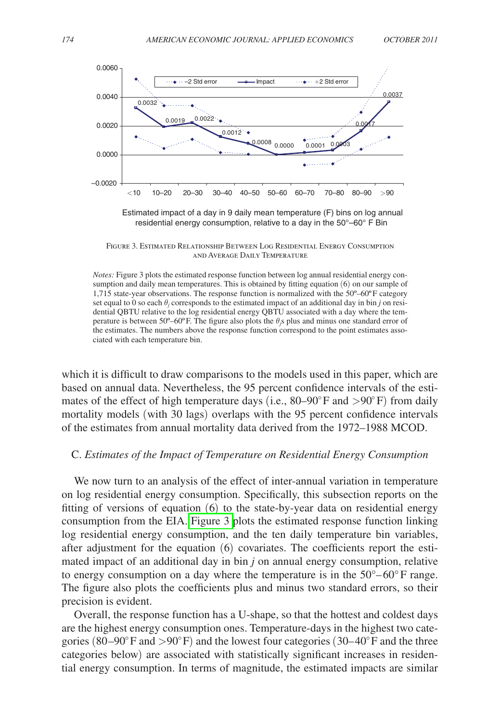<span id="page-22-0"></span>

Estimated impact of a day in 9 daily mean temperature (F) bins on log annual residential energy consumption, relative to a day in the 50°–60° F Bin

Figure 3. Estimated Relationship Between Log Residential Energy Consumption and Average Daily Temperature

*Notes:* Figure 3 plots the estimated response function between log annual residential energy consumption and daily mean temperatures. This is obtained by fitting equation (6) on our sample of 1,715 state-year observations. The response function is normalized with the 50º–60ºF category set equal to 0 so each  $\theta_j$  corresponds to the estimated impact of an additional day in bin *j* on residential QBTU relative to the log residential energy QBTU associated with a day where the temperature is between 50º–60ºF. The figure also plots the θ*<sup>j</sup>* s plus and minus one standard error of the estimates. The numbers above the response function correspond to the point estimates associated with each temperature bin.

which it is difficult to draw comparisons to the models used in this paper, which are based on annual data. Nevertheless, the 95 percent confidence intervals of the estimates of the effect of high temperature days (i.e.,  $80-90^{\circ}$ F and  $>90^{\circ}$ F) from daily mortality models (with 30 lags) overlaps with the 95 percent confidence intervals of the estimates from annual mortality data derived from the 1972–1988 MCOD.

## C. *Estimates of the Impact of Temperature on Residential Energy Consumption*

We now turn to an analysis of the effect of inter-annual variation in temperature on log residential energy consumption. Specifically, this subsection reports on the fitting of versions of equation (6) to the state-by-year data on residential energy consumption from the EIA. Figure 3 plots the estimated response function linking log residential energy consumption, and the ten daily temperature bin variables, after adjustment for the equation (6) covariates. The coefficients report the estimated impact of an additional day in bin *j* on annual energy consumption, relative to energy consumption on a day where the temperature is in the  $50^{\circ} - 60^{\circ}$  F range. The figure also plots the coefficients plus and minus two standard errors, so their precision is evident.

Overall, the response function has a U-shape, so that the hottest and coldest days are the highest energy consumption ones. Temperature-days in the highest two categories (80–90 $\degree$ F and >90 $\degree$ F) and the lowest four categories (30–40 $\degree$ F and the three categories below) are associated with statistically significant increases in residential energy consumption. In terms of magnitude, the estimated impacts are similar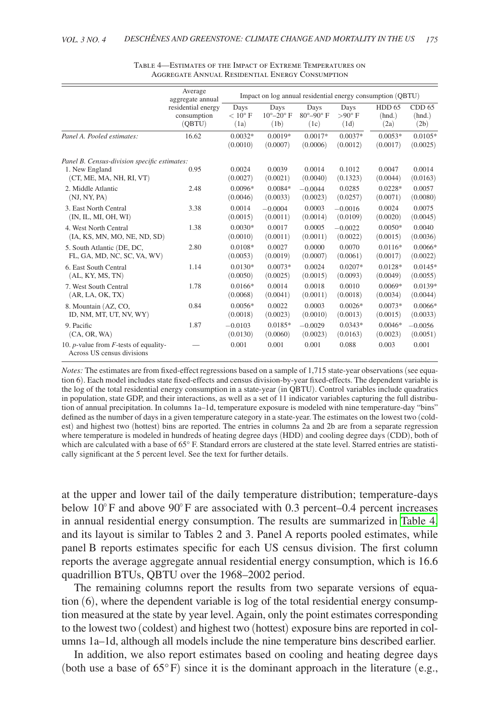|                                                                           | Average<br>aggregate annual | Impact on log annual residential energy consumption (OBTU) |                           |                         |                       |                       |                       |
|---------------------------------------------------------------------------|-----------------------------|------------------------------------------------------------|---------------------------|-------------------------|-----------------------|-----------------------|-----------------------|
|                                                                           | residential energy          | Days                                                       | Days                      | Days                    | Days                  | <b>HDD 65</b>         | CDD 65                |
|                                                                           | consumption                 | $< 10^{\circ}$ F                                           | $10^{\circ}-20^{\circ}$ F | $80^\circ - 90^\circ$ F | $>90^{\circ}$ F       | (hnd.)                | (hnd.)                |
|                                                                           | (OBTU)                      | (1a)                                                       | (1b)                      | (1c)                    | (1d)                  | (2a)                  | (2b)                  |
| Panel A. Pooled estimates:                                                | 16.62                       | $0.0032*$<br>(0.0010)                                      | $0.0019*$<br>(0.0007)     | $0.0017*$<br>(0.0006)   | $0.0037*$<br>(0.0012) | $0.0053*$<br>(0.0017) | $0.0105*$<br>(0.0025) |
| Panel B. Census-division specific estimates:                              |                             |                                                            |                           |                         |                       |                       |                       |
| 1. New England                                                            | 0.95                        | 0.0024                                                     | 0.0039                    | 0.0014                  | 0.1012                | 0.0047                | 0.0014                |
| (CT, ME, MA, NH, RI, VT)                                                  |                             | (0.0027)                                                   | (0.0021)                  | (0.0040)                | (0.1323)              | (0.0044)              | (0.0163)              |
| 2. Middle Atlantic                                                        | 2.48                        | $0.0096*$                                                  | $0.0084*$                 | $-0.0044$               | 0.0285                | $0.0228*$             | 0.0057                |
| (NJ, NY, PA)                                                              |                             | (0.0046)                                                   | (0.0033)                  | (0.0023)                | (0.0257)              | (0.0071)              | (0.0080)              |
| 3. East North Central                                                     | 3.38                        | 0.0014                                                     | $-0.0004$                 | 0.0003                  | $-0.0016$             | 0.0024                | 0.0075                |
| (IN, IL, MI, OH, WI)                                                      |                             | (0.0015)                                                   | (0.0011)                  | (0.0014)                | (0.0109)              | (0.0020)              | (0.0045)              |
| 4. West North Central                                                     | 1.38                        | $0.0030*$                                                  | 0.0017                    | 0.0005                  | $-0.0022$             | $0.0050*$             | 0.0040                |
| (IA, KS, MN, MO, NE, ND, SD)                                              |                             | (0.0010)                                                   | (0.0011)                  | (0.0011)                | (0.0022)              | (0.0015)              | (0.0036)              |
| 5. South Atlantic (DE, DC,                                                | 2.80                        | $0.0108*$                                                  | 0.0027                    | 0.0000                  | 0.0070                | $0.0116*$             | $0.0066*$             |
| FL, GA, MD, NC, SC, VA, WV)                                               |                             | (0.0053)                                                   | (0.0019)                  | (0.0007)                | (0.0061)              | (0.0017)              | (0.0022)              |
| 6. East South Central                                                     | 1.14                        | $0.0130*$                                                  | $0.0073*$                 | 0.0024                  | $0.0207*$             | $0.0128*$             | $0.0145*$             |
| (AL, KY, MS, TN)                                                          |                             | (0.0050)                                                   | (0.0025)                  | (0.0015)                | (0.0093)              | (0.0049)              | (0.0055)              |
| 7. West South Central                                                     | 1.78                        | $0.0166*$                                                  | 0.0014                    | 0.0018                  | 0.0010                | $0.0069*$             | $0.0139*$             |
| (AR, LA, OK, TX)                                                          |                             | (0.0068)                                                   | (0.0041)                  | (0.0011)                | (0.0018)              | (0.0034)              | (0.0044)              |
| 8. Mountain (AZ, CO,                                                      | 0.84                        | $0.0056*$                                                  | 0.0022                    | 0.0003                  | $0.0026*$             | $0.0073*$             | $0.0066*$             |
| ID, NM, MT, UT, NV, WY)                                                   |                             | (0.0018)                                                   | (0.0023)                  | (0.0010)                | (0.0013)              | (0.0015)              | (0.0033)              |
| 9. Pacific                                                                | 1.87                        | $-0.0103$                                                  | $0.0185*$                 | $-0.0029$               | $0.0343*$             | $0.0046*$             | $-0.0056$             |
| (CA, OR, WA)                                                              |                             | (0.0130)                                                   | (0.0060)                  | (0.0023)                | (0.0163)              | (0.0023)              | (0.0051)              |
| 10. $p$ -value from $F$ -tests of equality-<br>Across US census divisions |                             | 0.001                                                      | 0.001                     | 0.001                   | 0.088                 | 0.003                 | 0.001                 |

Table 4—Estimates of the Impact of Extreme Temperatures on Aggregate Annual Residential Energy Consumption

*Notes:* The estimates are from fixed-effect regressions based on a sample of 1,715 state-year observations (see equation 6). Each model includes state fixed-effects and census division-by-year fixed-effects. The dependent variable is the log of the total residential energy consumption in a state-year (in QBTU). Control variables include quadratics in population, state GDP, and their interactions, as well as a set of 11 indicator variables capturing the full distribution of annual precipitation. In columns 1a-1d, temperature exposure is modeled with nine temperature-day "bins" defined as the number of days in a given temperature category in a state-year. The estimates on the lowest two (coldest) and highest two (hottest) bins are reported. The entries in columns 2a and 2b are from a separate regression where temperature is modeled in hundreds of heating degree days (HDD) and cooling degree days (CDD), both of which are calculated with a base of 65° F. Standard errors are clustered at the state level. Starred entries are statistically significant at the 5 percent level. See the text for further details.

at the upper and lower tail of the daily temperature distribution; temperature-days below 10°F and above 90°F are associated with 0.3 percent–0.4 percent increases in annual residential energy consumption. The results are summarized in Table 4, and its layout is similar to Tables 2 and 3. Panel A reports pooled estimates, while panel B reports estimates specific for each US census division. The first column reports the average aggregate annual residential energy consumption, which is 16.6 quadrillion BTUs, QBTU over the 1968–2002 period.

The remaining columns report the results from two separate versions of equation (6), where the dependent variable is log of the total residential energy consumption measured at the state by year level. Again, only the point estimates corresponding to the lowest two (coldest) and highest two (hottest) exposure bins are reported in columns 1a–1d, although all models include the nine temperature bins described earlier.

In addition, we also report estimates based on cooling and heating degree days (both use a base of  $65^{\circ}$ F) since it is the dominant approach in the literature (e.g.,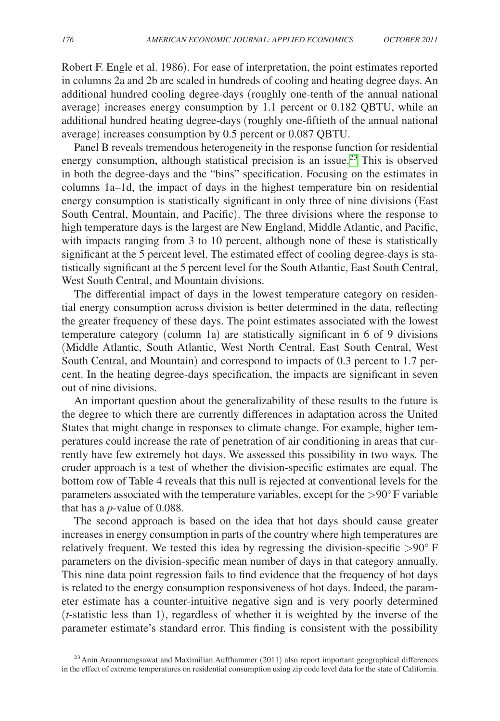Robert F. Engle et al. 1986). For ease of interpretation, the point estimates reported in columns 2a and 2b are scaled in hundreds of cooling and heating degree days. An additional hundred cooling degree-days (roughly one-tenth of the annual national average) increases energy consumption by 1.1 percent or 0.182 QBTU, while an additional hundred heating degree-days (roughly one-fiftieth of the annual national

average) increases consumption by 0.5 percent or 0.087 QBTU.

Panel B reveals tremendous heterogeneity in the response function for residential energy consumption, although statistical precision is an issue.<sup>23</sup> This is observed in both the degree-days and the "bins" specification. Focusing on the estimates in columns 1a–1d, the impact of days in the highest temperature bin on residential energy consumption is statistically significant in only three of nine divisions (East South Central, Mountain, and Pacific). The three divisions where the response to high temperature days is the largest are New England, Middle Atlantic, and Pacific, with impacts ranging from 3 to 10 percent, although none of these is statistically significant at the 5 percent level. The estimated effect of cooling degree-days is statistically significant at the 5 percent level for the South Atlantic, East South Central, West South Central, and Mountain divisions.

The differential impact of days in the lowest temperature category on residential energy consumption across division is better determined in the data, reflecting the greater frequency of these days. The point estimates associated with the lowest temperature category (column 1a) are statistically significant in 6 of 9 divisions (Middle Atlantic, South Atlantic, West North Central, East South Central, West South Central, and Mountain) and correspond to impacts of 0.3 percent to 1.7 percent. In the heating degree-days specification, the impacts are significant in seven out of nine divisions.

An important question about the generalizability of these results to the future is the degree to which there are currently differences in adaptation across the United States that might change in responses to climate change. For example, higher temperatures could increase the rate of penetration of air conditioning in areas that currently have few extremely hot days. We assessed this possibility in two ways. The cruder approach is a test of whether the division-specific estimates are equal. The bottom row of Table 4 reveals that this null is rejected at conventional levels for the parameters associated with the temperature variables, except for the >90°F variable that has a *p*-value of 0.088.

The second approach is based on the idea that hot days should cause greater increases in energy consumption in parts of the country where high temperatures are relatively frequent. We tested this idea by regressing the division-specific >90° F parameters on the division-specific mean number of days in that category annually. This nine data point regression fails to find evidence that the frequency of hot days is related to the energy consumption responsiveness of hot days. Indeed, the parameter estimate has a counter-intuitive negative sign and is very poorly determined (*t*-statistic less than 1), regardless of whether it is weighted by the inverse of the parameter estimate's standard error. This finding is consistent with the possibility

<span id="page-24-0"></span> $23$ Anin Aroonruengsawat and Maximilian Auffhammer (2011) also report important geographical differences in the effect of extreme temperatures on residential consumption using zip code level data for the state of California.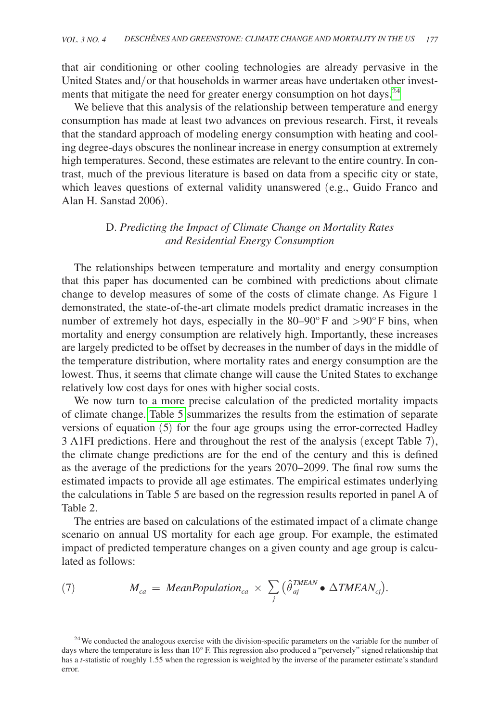<span id="page-25-0"></span>that air conditioning or other cooling technologies are already pervasive in the United States and/or that households in warmer areas have undertaken other investments that mitigate the need for greater energy consumption on hot days.<sup>24</sup>

We believe that this analysis of the relationship between temperature and energy consumption has made at least two advances on previous research. First, it reveals that the standard approach of modeling energy consumption with heating and cooling degree-days obscures the nonlinear increase in energy consumption at extremely high temperatures. Second, these estimates are relevant to the entire country. In contrast, much of the previous literature is based on data from a specific city or state, which leaves questions of external validity unanswered (e.g., Guido Franco and Alan H. Sanstad 2006).

# D. *Predicting the Impact of Climate Change on Mortality Rates and Residential Energy Consumption*

The relationships between temperature and mortality and energy consumption that this paper has documented can be combined with predictions about climate change to develop measures of some of the costs of climate change. As Figure 1 demonstrated, the state-of-the-art climate models predict dramatic increases in the number of extremely hot days, especially in the  $80-90^{\circ}$  F and  $>90^{\circ}$  F bins, when mortality and energy consumption are relatively high. Importantly, these increases are largely predicted to be offset by decreases in the number of days in the middle of the temperature distribution, where mortality rates and energy consumption are the lowest. Thus, it seems that climate change will cause the United States to exchange relatively low cost days for ones with higher social costs.

We now turn to a more precise calculation of the predicted mortality impacts of climate change. [Table 5](#page-26-0) summarizes the results from the estimation of separate versions of equation (5) for the four age groups using the error-corrected Hadley 3 A1FI predictions. Here and throughout the rest of the analysis (except Table 7), the climate change predictions are for the end of the century and this is defined as the average of the predictions for the years 2070–2099. The final row sums the estimated impacts to provide all age estimates. The empirical estimates underlying the calculations in Table 5 are based on the regression results reported in panel A of Table 2.

The entries are based on calculations of the estimated impact of a climate change scenario on annual US mortality for each age group. For example, the estimated impact of predicted temperature changes on a given county and age group is calculated as follows: d on c<br>| mort<br>|<br>|Mean d on c<br>S mor<br>mperat<br>*Mean* 

| (7) | \n $M_{ca} = MeanPopulation_{ca} \times \sum_{j} \left( \hat{\theta}_{aj}^{TMEAN} \bullet \Delta TMEAN_{cj} \right).$ \n |
|-----|--------------------------------------------------------------------------------------------------------------------------|
|-----|--------------------------------------------------------------------------------------------------------------------------|

<span id="page-25-1"></span><sup>24</sup>We conducted the analogous exercise with the division-specific parameters on the variable for the number of days where the temperature is less than 10° F. This regression also produced a "perversely" signed relationship that has a *t*-statistic of roughly 1.55 when the regression is weighted by the inverse of the parameter estimate's standard error.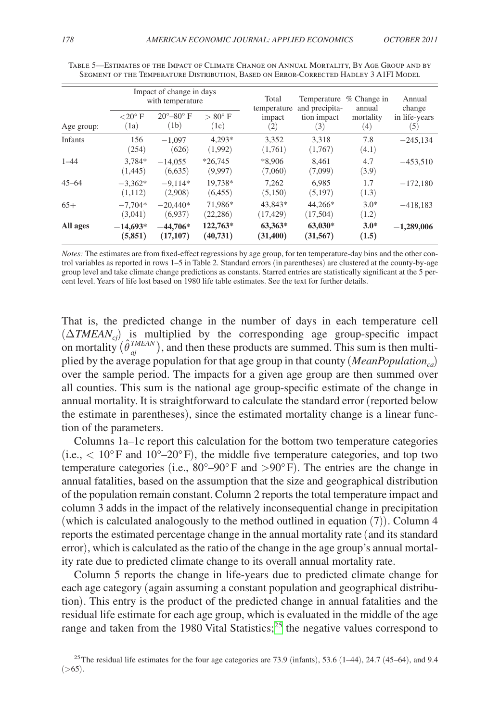|                |                           | Impact of change in days<br>with temperature |                          |                              | Temperature<br>and precipita- | % Change in<br>annual | Annual<br>change     |
|----------------|---------------------------|----------------------------------------------|--------------------------|------------------------------|-------------------------------|-----------------------|----------------------|
| Age group:     | ${<}20^{\circ}$ F<br>(1a) | $20^{\circ}-80^{\circ}$ F<br>(1b)            | $> 80^{\circ}$ F<br>(1c) | temperature<br>impact<br>(2) | tion impact<br>(3)            | mortality<br>(4)      | in life-years<br>(5) |
| <b>Infants</b> | 156<br>(254)              | $-1.097$<br>(626)                            | $4.293*$<br>(1,992)      | 3.352<br>(1,761)             | 3.318<br>(1,767)              | 7.8<br>(4.1)          | $-245,134$           |
| $1 - 44$       | 3.784*<br>(1, 445)        | $-14.055$<br>(6,635)                         | $*26.745$<br>(9,997)     | *8.906<br>(7,060)            | 8.461<br>(7,099)              | 4.7<br>(3.9)          | $-453,510$           |
| $45 - 64$      | $-3.362*$<br>(1,112)      | $-9.114*$<br>(2,908)                         | 19.738*<br>(6, 455)      | 7.262<br>(5,150)             | 6.985<br>(5, 197)             | 1.7<br>(1.3)          | $-172,180$           |
| $65+$          | $-7.704*$<br>(3,041)      | $-20.440*$<br>(6,937)                        | 71.986*<br>(22, 286)     | 43.843*<br>(17, 429)         | 44.266*<br>(17,504)           | $3.0*$<br>(1.2)       | $-418.183$           |
| All ages       | $-14,693*$<br>(5, 851)    | $-44.706*$<br>(17,107)                       | 122,763*<br>(40, 731)    | 63.363*<br>(31, 400)         | 63,030*<br>(31, 567)          | $3.0*$<br>(1.5)       | $-1,289,006$         |

<span id="page-26-0"></span>Table 5—Estimates of the Impact of Climate Change on Annual Mortality, By Age Group and by Segment of the Temperature Distribution, Based on Error-Corrected Hadley 3 A1FI Model

*Notes:* The estimates are from fixed-effect regressions by age group, for ten temperature-day bins and the other control variables as reported in rows 1–5 in Table 2. Standard errors (in parentheses) are clustered at the county-by-age group level and take climate change predictions as constants. Starred entries are statistically significant at the 5 percent level. Years of life lost based on 1980 life table estimates. See the text for further details.

That is, the predicted change in the number of days in each temperature cell  $(\Delta T M EAN_{ci})$  is multiplied by the corresponding age group-specific impact on mortality  $(\hat{\theta}_{aj}^{TMEAN})$ , and then these products are summed. This sum is then multiplied by the average population for that age group in that county (*MeanPopulationca*) over the sample period. The impacts for a given age group are then summed over all counties. This sum is the national age group-specific estimate of the change in annual mortality. It is straightforward to calculate the standard error (reported below the estimate in parentheses), since the estimated mortality change is a linear function of the parameters.

Columns 1a–1c report this calculation for the bottom two temperature categories  $(i.e., < 10^{\circ}$  F and  $10^{\circ}$ -20°F), the middle five temperature categories, and top two temperature categories (i.e.,  $80^{\circ}$ -90°F and >90°F). The entries are the change in annual fatalities, based on the assumption that the size and geographical distribution of the population remain constant. Column 2 reports the total temperature impact and column 3 adds in the impact of the relatively inconsequential change in precipitation (which is calculated analogously to the method outlined in equation (7)). Column 4 reports the estimated percentage change in the annual mortality rate (and its standard error), which is calculated as the ratio of the change in the age group's annual mortality rate due to predicted climate change to its overall annual mortality rate.

Column 5 reports the change in life-years due to predicted climate change for each age category (again assuming a constant population and geographical distribution). This entry is the product of the predicted change in annual fatalities and the residual life estimate for each age group, which is evaluated in the middle of the age range and taken from the 1980 Vital Statistics;<sup>25</sup> the negative values correspond to

<span id="page-26-1"></span><sup>&</sup>lt;sup>25</sup>The residual life estimates for the four age categories are 73.9 (infants), 53.6 (1–44), 24.7 (45–64), and 9.4  $(>65)$ .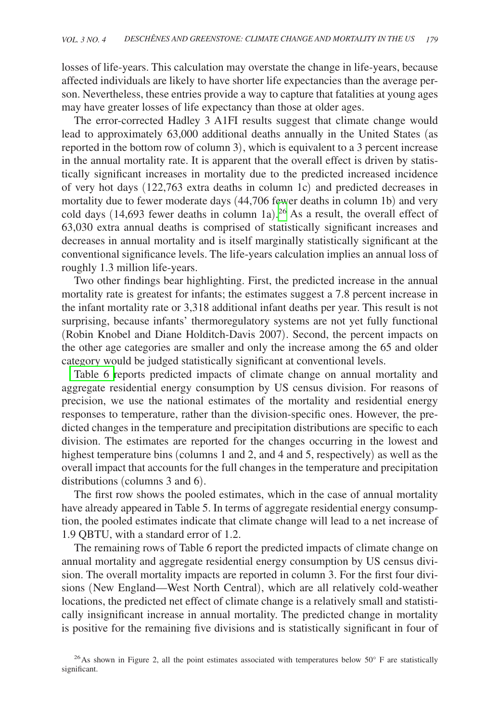losses of life-years. This calculation may overstate the change in life-years, because affected individuals are likely to have shorter life expectancies than the average person. Nevertheless, these entries provide a way to capture that fatalities at young ages may have greater losses of life expectancy than those at older ages.

The error-corrected Hadley 3 A1FI results suggest that climate change would lead to approximately 63,000 additional deaths annually in the United States (as reported in the bottom row of column 3), which is equivalent to a 3 percent increase in the annual mortality rate. It is apparent that the overall effect is driven by statistically significant increases in mortality due to the predicted increased incidence of very hot days (122,763 extra deaths in column 1c) and predicted decreases in mortality due to fewer moderate days (44,706 fewer deaths in column 1b) and very cold days (14,693 fewer deaths in column 1a). [26](#page-27-0) As a result, the overall effect of 63,030 extra annual deaths is comprised of statistically significant increases and decreases in annual mortality and is itself marginally statistically significant at the conventional significance levels. The life-years calculation implies an annual loss of roughly 1.3 million life-years.

Two other findings bear highlighting. First, the predicted increase in the annual mortality rate is greatest for infants; the estimates suggest a 7.8 percent increase in the infant mortality rate or 3,318 additional infant deaths per year. This result is not surprising, because infants' thermoregulatory systems are not yet fully functional (Robin Knobel and Diane Holditch-Davis 2007). Second, the percent impacts on the other age categories are smaller and only the increase among the 65 and older category would be judged statistically significant at conventional levels.

[Table 6 r](#page-28-0)eports predicted impacts of climate change on annual mortality and aggregate residential energy consumption by US census division. For reasons of precision, we use the national estimates of the mortality and residential energy responses to temperature, rather than the division-specific ones. However, the predicted changes in the temperature and precipitation distributions are specific to each division. The estimates are reported for the changes occurring in the lowest and highest temperature bins (columns 1 and 2, and 4 and 5, respectively) as well as the overall impact that accounts for the full changes in the temperature and precipitation distributions (columns 3 and 6).

The first row shows the pooled estimates, which in the case of annual mortality have already appeared in Table 5. In terms of aggregate residential energy consumption, the pooled estimates indicate that climate change will lead to a net increase of 1.9 QBTU, with a standard error of 1.2.

The remaining rows of Table 6 report the predicted impacts of climate change on annual mortality and aggregate residential energy consumption by US census division. The overall mortality impacts are reported in column 3. For the first four divisions (New England—West North Central), which are all relatively cold-weather locations, the predicted net effect of climate change is a relatively small and statistically insignificant increase in annual mortality. The predicted change in mortality is positive for the remaining five divisions and is statistically significant in four of

<span id="page-27-0"></span><sup>&</sup>lt;sup>26</sup>As shown in Figure 2, all the point estimates associated with temperatures below  $50^{\circ}$  F are statistically significant.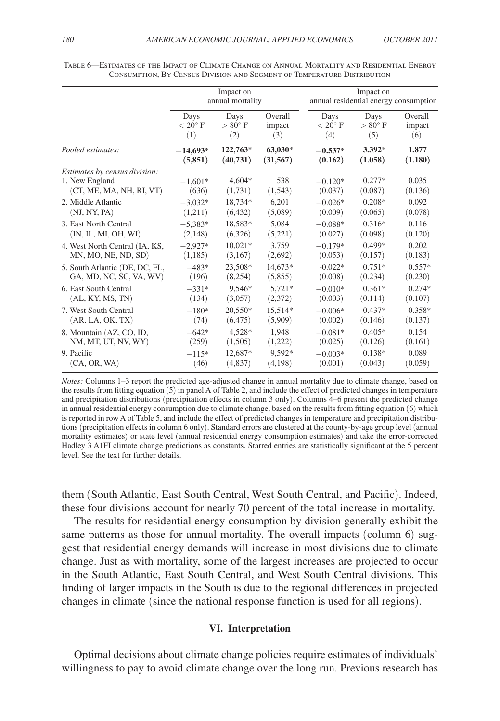|                                                                                    | Impact on<br>annual mortality |                     |                 |                      | Impact on<br>annual residential energy consumption |                  |  |
|------------------------------------------------------------------------------------|-------------------------------|---------------------|-----------------|----------------------|----------------------------------------------------|------------------|--|
|                                                                                    | Days                          | Days                | Overall         | Days                 | Days                                               | Overall          |  |
|                                                                                    | $< 20^{\circ}$ F              | $> 80^{\circ}$ F    | impact          | $< 20^{\circ}$ F     | $> 80^{\circ}$ F                                   | impact           |  |
|                                                                                    | (1)                           | (2)                 | (3)             | (4)                  | (5)                                                | (6)              |  |
| Pooled estimates:                                                                  | $-14,693*$                    | 122,763*            | 63,030*         | $-0.537*$            | 3.392*                                             | 1.877            |  |
|                                                                                    | (5, 851)                      | (40, 731)           | (31, 567)       | (0.162)              | (1.058)                                            | (1.180)          |  |
| <i>Estimates by census division:</i><br>1. New England<br>(CT, ME, MA, NH, RI, VT) | $-1.601*$<br>(636)            | $4,604*$<br>(1,731) | 538<br>(1, 543) | $-0.120*$<br>(0.037) | $0.277*$<br>(0.087)                                | 0.035<br>(0.136) |  |
| 2. Middle Atlantic                                                                 | $-3.032*$                     | 18.734*             | 6,201           | $-0.026*$            | $0.208*$                                           | 0.092            |  |
| (NJ, NY, PA)                                                                       | (1,211)                       | (6, 432)            | (5,089)         | (0.009)              | (0.065)                                            | (0.078)          |  |
| 3. East North Central                                                              | $-5.383*$                     | 18,583*             | 5,084           | $-0.088*$            | $0.316*$                                           | 0.116            |  |
| (IN, IL, MI, OH, WI)                                                               | (2, 148)                      | (6,326)             | (5,221)         | (0.027)              | (0.098)                                            | (0.120)          |  |
| 4. West North Central (IA, KS,                                                     | $-2,927*$                     | $10.021*$           | 3,759           | $-0.179*$            | $0.499*$                                           | 0.202            |  |
| MN, MO, NE, ND, SD)                                                                | (1, 185)                      | (3,167)             | (2,692)         | (0.053)              | (0.157)                                            | (0.183)          |  |
| 5. South Atlantic (DE, DC, FL,                                                     | $-483*$                       | 23,508*             | 14,673*         | $-0.022*$            | $0.751*$                                           | $0.557*$         |  |
| GA, MD, NC, SC, VA, WV)                                                            | (196)                         | (8,254)             | (5,855)         | (0.008)              | (0.234)                                            | (0.230)          |  |
| 6. East South Central                                                              | $-331*$                       | 9.546*              | 5,721*          | $-0.010*$            | $0.361*$                                           | $0.274*$         |  |
| (AL, KY, MS, TN)                                                                   | (134)                         | (3,057)             | (2,372)         | (0.003)              | (0.114)                                            | (0.107)          |  |
| 7. West South Central                                                              | $-180*$                       | 20,550*             | 15.514*         | $-0.006*$            | $0.437*$                                           | $0.358*$         |  |
| (AR, LA, OK, TX)                                                                   | (74)                          | (6, 475)            | (5,909)         | (0.002)              | (0.146)                                            | (0.137)          |  |
| 8. Mountain (AZ, CO, ID,                                                           | $-642*$                       | 4.528*              | 1,948           | $-0.081*$            | $0.405*$                                           | 0.154            |  |
| NM, MT, UT, NV, WY)                                                                | (259)                         | (1,505)             | (1,222)         | (0.025)              | (0.126)                                            | (0.161)          |  |
| 9. Pacific                                                                         | $-115*$                       | 12.687*             | 9.592*          | $-0.003*$            | $0.138*$                                           | 0.089            |  |
| (CA, OR, WA)                                                                       | (46)                          | (4, 837)            | (4,198)         | (0.001)              | (0.043)                                            | (0.059)          |  |

<span id="page-28-0"></span>Table 6—Estimates of the Impact of Climate Change on Annual Mortality and Residential Energy Consumption, By Census Division and Segment of Temperature Distribution

*Notes:* Columns 1–3 report the predicted age-adjusted change in annual mortality due to climate change, based on the results from fitting equation (5) in panel A of Table 2, and include the effect of predicted changes in temperature and precipitation distributions (precipitation effects in column 3 only). Columns 4–6 present the predicted change in annual residential energy consumption due to climate change, based on the results from fitting equation (6) which is reported in row A of Table 5, and include the effect of predicted changes in temperature and precipitation distributions (precipitation effects in column 6 only). Standard errors are clustered at the county-by-age group level (annual mortality estimates) or state level (annual residential energy consumption estimates) and take the error-corrected Hadley 3 A1FI climate change predictions as constants. Starred entries are statistically significant at the 5 percent level. See the text for further details.

them (South Atlantic, East South Central, West South Central, and Pacific). Indeed, these four divisions account for nearly 70 percent of the total increase in mortality.

The results for residential energy consumption by division generally exhibit the same patterns as those for annual mortality. The overall impacts (column 6) suggest that residential energy demands will increase in most divisions due to climate change. Just as with mortality, some of the largest increases are projected to occur in the South Atlantic, East South Central, and West South Central divisions. This finding of larger impacts in the South is due to the regional differences in projected changes in climate (since the national response function is used for all regions).

## **VI. Interpretation**

Optimal decisions about climate change policies require estimates of individuals' willingness to pay to avoid climate change over the long run. Previous research has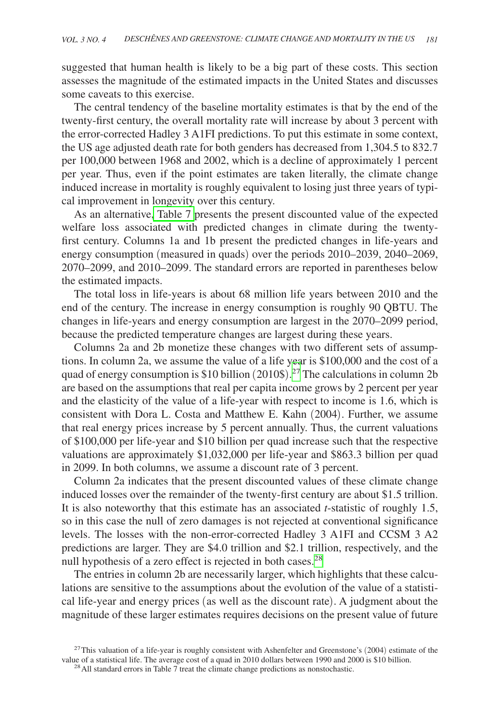suggested that human health is likely to be a big part of these costs. This section assesses the magnitude of the estimated impacts in the United States and discusses some caveats to this exercise.

The central tendency of the baseline mortality estimates is that by the end of the twenty-first century, the overall mortality rate will increase by about 3 percent with the error-corrected Hadley 3 A1FI predictions. To put this estimate in some context, the US age adjusted death rate for both genders has decreased from 1,304.5 to 832.7 per 100,000 between 1968 and 2002, which is a decline of approximately 1 percent per year. Thus, even if the point estimates are taken literally, the climate change induced increase in mortality is roughly equivalent to losing just three years of typical improvement in longevity over this century.

As an alternative[, Table 7](#page-30-0) presents the present discounted value of the expected welfare loss associated with predicted changes in climate during the twentyfirst century. Columns 1a and 1b present the predicted changes in life-years and energy consumption (measured in quads) over the periods 2010–2039, 2040–2069, 2070–2099, and 2010–2099. The standard errors are reported in parentheses below the estimated impacts.

The total loss in life-years is about 68 million life years between 2010 and the end of the century. The increase in energy consumption is roughly 90 QBTU. The changes in life-years and energy consumption are largest in the 2070–2099 period, because the predicted temperature changes are largest during these years.

Columns 2a and 2b monetize these changes with two different sets of assumptions. In column 2a, we assume the value of a life year is \$100,000 and the cost of a quad of energy consumption is \$10 billion (2010\$). [27](#page-29-0) The calculations in column 2b are based on the assumptions that real per capita income grows by 2 percent per year and the elasticity of the value of a life-year with respect to income is 1.6, which is consistent with Dora L. Costa and Matthew E. Kahn (2004). Further, we assume that real energy prices increase by 5 percent annually. Thus, the current valuations of \$100,000 per life-year and \$10 billion per quad increase such that the respective valuations are approximately \$1,032,000 per life-year and \$863.3 billion per quad in 2099. In both columns, we assume a discount rate of 3 percent.

Column 2a indicates that the present discounted values of these climate change induced losses over the remainder of the twenty-first century are about \$1.5 trillion. It is also noteworthy that this estimate has an associated *t*-statistic of roughly 1.5, so in this case the null of zero damages is not rejected at conventional significance levels. The losses with the non-error-corrected Hadley 3 A1FI and CCSM 3 A2 predictions are larger. They are \$4.0 trillion and \$2.1 trillion, respectively, and the null hypothesis of a zero effect is rejected in both cases.<sup>[28](#page-29-1)</sup>

The entries in column 2b are necessarily larger, which highlights that these calculations are sensitive to the assumptions about the evolution of the value of a statistical life-year and energy prices (as well as the discount rate). A judgment about the magnitude of these larger estimates requires decisions on the present value of future

<span id="page-29-0"></span> $27$ This valuation of a life-year is roughly consistent with Ashenfelter and Greenstone's (2004) estimate of the value of a statistical life. The average cost of a quad in 2010 dollars between 1990 and 2000 is \$10 billion. <sup>28</sup> All standard errors in Table 7 treat the climate change predictions as nonstochastic.

<span id="page-29-1"></span>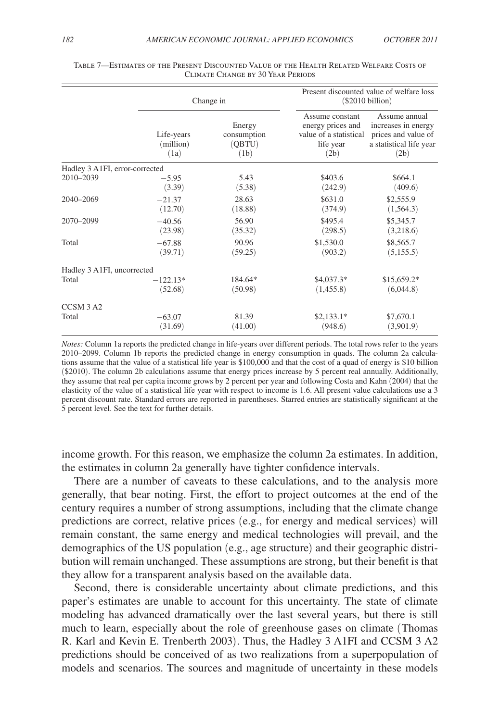|                                |                                 | Change in                               | Present discounted value of welfare loss<br>(\$2010 billion)                        |                                                                                                |  |
|--------------------------------|---------------------------------|-----------------------------------------|-------------------------------------------------------------------------------------|------------------------------------------------------------------------------------------------|--|
|                                | Life-years<br>(million)<br>(1a) | Energy<br>consumption<br>(OBTU)<br>(1b) | Assume constant<br>energy prices and<br>value of a statistical<br>life year<br>(2b) | Assume annual<br>increases in energy<br>prices and value of<br>a statistical life year<br>(2b) |  |
| Hadley 3 A1FI, error-corrected |                                 |                                         |                                                                                     |                                                                                                |  |
| 2010-2039                      | $-5.95$                         | 5.43                                    | \$403.6                                                                             | \$664.1                                                                                        |  |
|                                | (3.39)                          | (5.38)                                  | (242.9)                                                                             | (409.6)                                                                                        |  |
| 2040-2069                      | $-21.37$                        | 28.63                                   | \$631.0                                                                             | \$2,555.9                                                                                      |  |
|                                | (12.70)                         | (18.88)                                 | (374.9)                                                                             | (1, 564.3)                                                                                     |  |
| 2070-2099                      | $-40.56$                        | 56.90                                   | \$495.4                                                                             | \$5,345.7                                                                                      |  |
|                                | (23.98)                         | (35.32)                                 | (298.5)                                                                             | (3,218.6)                                                                                      |  |
| Total                          | $-67.88$                        | 90.96                                   | \$1,530.0                                                                           | \$8,565.7                                                                                      |  |
|                                | (39.71)                         | (59.25)                                 | (903.2)                                                                             | (5,155.5)                                                                                      |  |
| Hadley 3 A1FI, uncorrected     |                                 |                                         |                                                                                     |                                                                                                |  |
| Total                          | $-122.13*$                      | 184.64*                                 | \$4,037.3*                                                                          | $$15,659.2*$                                                                                   |  |
|                                | (52.68)                         | (50.98)                                 | (1,455.8)                                                                           | (6,044.8)                                                                                      |  |
| CCSM 3 A2                      |                                 |                                         |                                                                                     |                                                                                                |  |
| Total                          | $-63.07$                        | 81.39                                   | $$2,133.1*$                                                                         | \$7,670.1                                                                                      |  |
|                                | (31.69)                         | (41.00)                                 | (948.6)                                                                             | (3,901.9)                                                                                      |  |

<span id="page-30-0"></span>Table 7—Estimates of the Present Discounted Value of the Health Related Welfare Costs of Climate Change by 30 Year Periods

*Notes:* Column 1a reports the predicted change in life-years over different periods. The total rows refer to the years 2010–2099. Column 1b reports the predicted change in energy consumption in quads. The column 2a calculations assume that the value of a statistical life year is \$100,000 and that the cost of a quad of energy is \$10 billion (\$2010). The column 2b calculations assume that energy prices increase by 5 percent real annually. Additionally, they assume that real per capita income grows by 2 percent per year and following Costa and Kahn (2004) that the elasticity of the value of a statistical life year with respect to income is 1.6. All present value calculations use a 3 percent discount rate. Standard errors are reported in parentheses. Starred entries are statistically significant at the 5 percent level. See the text for further details.

income growth. For this reason, we emphasize the column 2a estimates. In addition, the estimates in column 2a generally have tighter confidence intervals.

There are a number of caveats to these calculations, and to the analysis more generally, that bear noting. First, the effort to project outcomes at the end of the century requires a number of strong assumptions, including that the climate change predictions are correct, relative prices (e.g., for energy and medical services) will remain constant, the same energy and medical technologies will prevail, and the demographics of the US population (e.g., age structure) and their geographic distribution will remain unchanged. These assumptions are strong, but their benefit is that they allow for a transparent analysis based on the available data.

Second, there is considerable uncertainty about climate predictions, and this paper's estimates are unable to account for this uncertainty. The state of climate modeling has advanced dramatically over the last several years, but there is still much to learn, especially about the role of greenhouse gases on climate (Thomas R. Karl and Kevin E. Trenberth 2003). Thus, the Hadley 3 A1FI and CCSM 3 A2 predictions should be conceived of as two realizations from a superpopulation of models and scenarios. The sources and magnitude of uncertainty in these models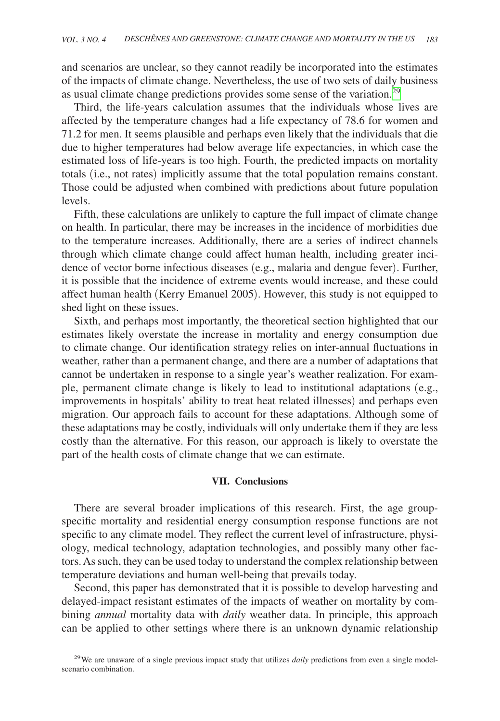<span id="page-31-0"></span>and scenarios are unclear, so they cannot readily be incorporated into the estimates of the impacts of climate change. Nevertheless, the use of two sets of daily business as usual climate change predictions provides some sense of the variation[.29](#page-31-1)

Third, the life-years calculation assumes that the individuals whose lives are affected by the temperature changes had a life expectancy of 78.6 for women and 71.2 for men. It seems plausible and perhaps even likely that the individuals that die due to higher temperatures had below average life expectancies, in which case the estimated loss of life-years is too high. Fourth, the predicted impacts on mortality totals (i.e., not rates) implicitly assume that the total population remains constant. Those could be adjusted when combined with predictions about future population levels.

Fifth, these calculations are unlikely to capture the full impact of climate change on health. In particular, there may be increases in the incidence of morbidities due to the temperature increases. Additionally, there are a series of indirect channels through which climate change could affect human health, including greater incidence of vector borne infectious diseases (e.g., malaria and dengue fever). Further, it is possible that the incidence of extreme events would increase, and these could affect human health (Kerry Emanuel 2005). However, this study is not equipped to shed light on these issues.

Sixth, and perhaps most importantly, the theoretical section highlighted that our estimates likely overstate the increase in mortality and energy consumption due to climate change. Our identification strategy relies on inter-annual fluctuations in weather, rather than a permanent change, and there are a number of adaptations that cannot be undertaken in response to a single year's weather realization. For example, permanent climate change is likely to lead to institutional adaptations (e.g., improvements in hospitals' ability to treat heat related illnesses) and perhaps even migration. Our approach fails to account for these adaptations. Although some of these adaptations may be costly, individuals will only undertake them if they are less costly than the alternative. For this reason, our approach is likely to overstate the part of the health costs of climate change that we can estimate.

# **VII. Conclusions**

There are several broader implications of this research. First, the age groupspecific mortality and residential energy consumption response functions are not specific to any climate model. They reflect the current level of infrastructure, physiology, medical technology, adaptation technologies, and possibly many other factors. As such, they can be used today to understand the complex relationship between temperature deviations and human well-being that prevails today.

Second, this paper has demonstrated that it is possible to develop harvesting and delayed-impact resistant estimates of the impacts of weather on mortality by combining *annual* mortality data with *daily* weather data. In principle, this approach can be applied to other settings where there is an unknown dynamic relationship

<span id="page-31-1"></span><sup>&</sup>lt;sup>29</sup>We are unaware of a single previous impact study that utilizes *daily* predictions from even a single modelscenario combination.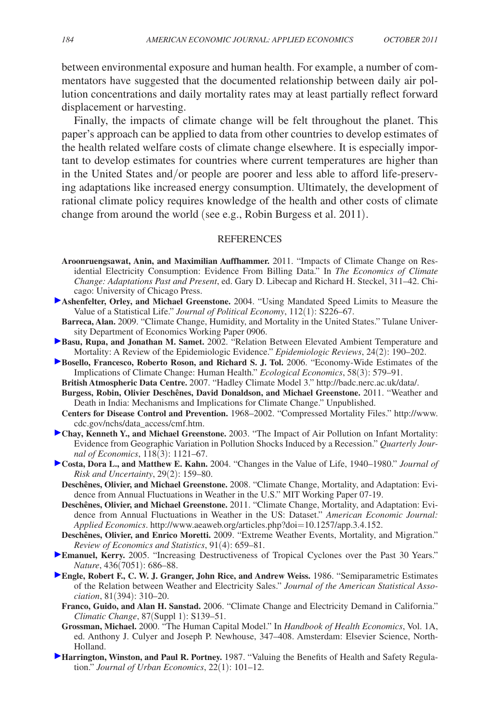<span id="page-32-0"></span>between environmental exposure and human health. For example, a number of commentators have suggested that the documented relationship between daily air pollution concentrations and daily mortality rates may at least partially reflect forward displacement or harvesting.

Finally, the impacts of climate change will be felt throughout the planet. This paper's approach can be applied to data from other countries to develop estimates of the health related welfare costs of climate change elsewhere. It is especially important to develop estimates for countries where current temperatures are higher than in the United States and/or people are poorer and less able to afford life-preserving adaptations like increased energy consumption. Ultimately, the development of rational climate policy requires knowledge of the health and other costs of climate change from around the world (see e.g., Robin Burgess et al. 2011).

# **REFERENCES**

- **Aroonruengsawat, Anin, and Maximilian Auffhammer.** 2011. "Impacts of Climate Change on Residential Electricity Consumption: Evidence From Billing Data." In *The Economics of Climate Change: Adaptations Past and Present*, ed. Gary D. Libecap and Richard H. Steckel, 311–42. Chicago: University of Chicago Press.
- **Ashenfelter, Orley, and Michael Greenstone.** 2004. "Using Mandated Speed Limits to Measure the Value of a Statistical Life." *Journal of Political Economy*, 112(1): S226–67.
- **Barreca, Alan.** 2009. "Climate Change, Humidity, and Mortality in the United States." Tulane University Department of Economics Working Paper 0906.
- **Basu, Rupa, and Jonathan M. Samet.** 2002. "Relation Between Elevated Ambient Temperature and Mortality: A Review of the Epidemiologic Evidence." *Epidemiologic Reviews*, 24(2): 190–202.
- **Bosello, Francesco, Roberto Roson, and Richard S. J. Tol.** 2006. "Economy-Wide Estimates of the Implications of Climate Change: Human Health." *Ecological Economics*, 58(3): 579–91.
	- **British Atmospheric Data Centre.** 2007. "Hadley Climate Model 3." <http://badc.nerc.ac.uk/data/>.
	- **Burgess, Robin, Olivier Deschênes, David Donaldson, and Michael Greenstone.** 2011. "Weather and Death in India: Mechanisms and Implications for Climate Change." Unpublished.
	- **Centers for Disease Control and Prevention.** 1968–2002. "Compressed Mortality Files." [http://www.](http://www.cdc.gov/nchs/data_access/cmf.htm) [cdc.gov/nchs/data\\_access/cmf.htm.](http://www.cdc.gov/nchs/data_access/cmf.htm)
- **Chay, Kenneth Y., and Michael Greenstone.** 2003. "The Impact of Air Pollution on Infant Mortality: Evidence from Geographic Variation in Pollution Shocks Induced by a Recession." *Quarterly Journal of Economics*, 118(3): 1121–67.
- **Costa, Dora L., and Matthew E. Kahn.** 2004. "Changes in the Value of Life, 1940–1980." *Journal of Risk and Uncertainty*, 29(2): 159–80.
	- **Deschênes, Olivier, and Michael Greenstone.** 2008. "Climate Change, Mortality, and Adaptation: Evidence from Annual Fluctuations in Weather in the U.S." MIT Working Paper 07-19.
	- **Deschênes, Olivier, and Michael Greenstone.** 2011. "Climate Change, Mortality, and Adaptation: Evidence from Annual Fluctuations in Weather in the US: Dataset." *American Economic Journal: Applied Economics*. [http://www.aeaweb.org/articles.php?doi](http://www.aeaweb.org/articles.php?doi=10.1257/app.3.4.152)=10.1257/app.3.4.152.
- **Deschênes, Olivier, and Enrico Moretti.** 2009. "Extreme Weather Events, Mortality, and Migration." *Review of Economics and Statistics*, 91(4): 659–81.
- **Emanuel, Kerry.** 2005. "Increasing Destructiveness of Tropical Cyclones over the Past 30 Years." *Nature*, 436(7051): 686–88.
- **Engle, Robert F., C. W. J. Granger, John Rice, and Andrew Weiss.** 1986. "Semiparametric Estimates of the Relation between Weather and Electricity Sales." *Journal of the American Statistical Association*, 81(394): 310–20.
	- **Franco, Guido, and Alan H. Sanstad.** 2006. "Climate Change and Electricity Demand in California." *Climatic Change*, 87(Suppl 1): S139–51.
	- **Grossman, Michael.** 2000. "The Human Capital Model." In *Handbook of Health Economics*, Vol. 1A, ed. Anthony J. Culyer and Joseph P. Newhouse, 347–408. Amsterdam: Elsevier Science, North-Holland.
- **Harrington, Winston, and Paul R. Portney.** 1987. "Valuing the Benefits of Health and Safety Regulation." *Journal of Urban Economics*, 22(1): 101–12.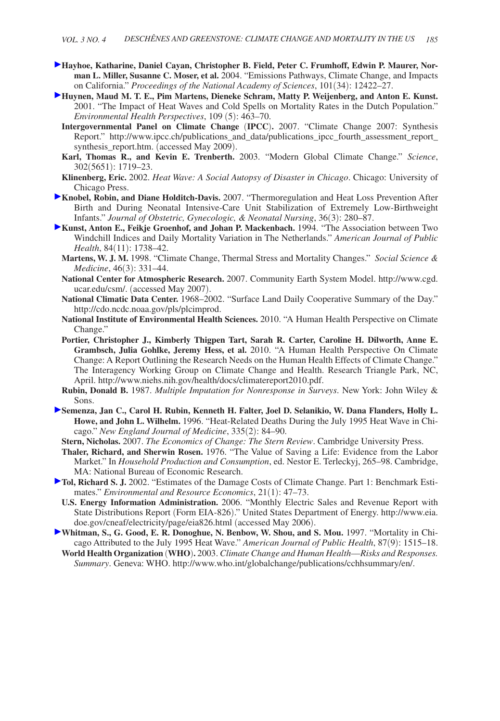- **Hayhoe, Katharine, Daniel Cayan, Christopher B. Field, Peter C. Frumhoff, Edwin P. Maurer, Norman L. Miller, Susanne C. Moser, et al.** 2004. "Emissions Pathways, Climate Change, and Impacts on California." *Proceedings of the National Academy of Sciences*, 101(34): 12422–27.
- **Huynen, Maud M. T. E., Pim Martens, Dieneke Schram, Matty P. Weijenberg, and Anton E. Kunst.**  2001. "The Impact of Heat Waves and Cold Spells on Mortality Rates in the Dutch Population." *Environmental Health Perspectives*, 109 (5): 463–70.
	- **Intergovernmental Panel on Climate Change** (**IPCC**)**.** 2007. "Climate Change 2007: Synthesis Report." [http://www.ipcc.ch/publications\\_and\\_data/publications\\_ipcc\\_fourth\\_assessment\\_report\\_](http://www.ipcc.ch/publications_and_data/publications_ipcc_fourth_assessment_report_synthesis_report.htm) synthesis report.htm. (accessed May 2009).
	- **Karl, Thomas R., and Kevin E. Trenberth.** 2003. "Modern Global Climate Change." *Science*, 302(5651): 1719–23.
	- **Klinenberg, Eric.** 2002. *Heat Wave: A Social Autopsy of Disaster in Chicago*. Chicago: University of Chicago Press.
- **Knobel, Robin, and Diane Holditch-Davis.** 2007. "Thermoregulation and Heat Loss Prevention After Birth and During Neonatal Intensive-Care Unit Stabilization of Extremely Low-Birthweight Infants." *Journal of Obstetric, Gynecologic, & Neonatal Nursing*, 36(3): 280–87.
- **Kunst, Anton E., Feikje Groenhof, and Johan P. Mackenbach.** 1994. "The Association between Two Windchill Indices and Daily Mortality Variation in The Netherlands." *American Journal of Public Health*, 84(11): 1738–42.
	- **Martens, W. J. M.** 1998. "Climate Change, Thermal Stress and Mortality Changes." *Social Science & Medicine*, 46(3): 331–44.
	- **National Center for Atmospheric Research.** 2007. Community Earth System Model. [http://www.cgd.](http://www.cgd.ucar.edu/csm/) [ucar.edu/csm/.](http://www.cgd.ucar.edu/csm/) (accessed May 2007).
	- **National Climatic Data Center.** 1968–2002. "Surface Land Daily Cooperative Summary of the Day." <http://cdo.ncdc.noaa.gov/pls/plcimprod>.
	- **National Institute of Environmental Health Sciences.** 2010. "A Human Health Perspective on Climate Change."
	- **Portier, Christopher J., Kimberly Thigpen Tart, Sarah R. Carter, Caroline H. Dilworth, Anne E. Grambsch, Julia Gohlke, Jeremy Hess, et al.** 2010. "A Human Health Perspective On Climate Change: A Report Outlining the Research Needs on the Human Health Effects of Climate Change." The Interagency Working Group on Climate Change and Health. Research Triangle Park, NC, April. [http://www.niehs.nih.gov/health/docs/climatereport2010.pdf.](http://www.niehs.nih.gov/health/docs/climatereport2010.pdf)
- **Rubin, Donald B.** 1987. *Multiple Imputation for Nonresponse in Surveys*. New York: John Wiley & Sons.
- **Semenza, Jan C., Carol H. Rubin, Kenneth H. Falter, Joel D. Selanikio, W. Dana Flanders, Holly L. Howe, and John L. Wilhelm.** 1996. "Heat-Related Deaths During the July 1995 Heat Wave in Chicago." *New England Journal of Medicine*, 335(2): 84–90.
- **Stern, Nicholas.** 2007. *The Economics of Change: The Stern Review*. Cambridge University Press.
- **Thaler, Richard, and Sherwin Rosen.** 1976. "The Value of Saving a Life: Evidence from the Labor Market." In *Household Production and Consumption*, ed. Nestor E. Terleckyj, 265–98. Cambridge, MA: National Bureau of Economic Research.
- **Tol, Richard S. J.** 2002. "Estimates of the Damage Costs of Climate Change. Part 1: Benchmark Estimates." *Environmental and Resource Economics*, 21(1): 47–73.
	- **U.S. Energy Information Administration.** 2006. "Monthly Electric Sales and Revenue Report with State Distributions Report (Form EIA-826)." United States Department of Energy. [http://www.eia.](http://www.eia.doe.gov/cneaf/electricity/page/eia826.html) [doe.gov/cneaf/electricity/page/eia826.html](http://www.eia.doe.gov/cneaf/electricity/page/eia826.html) (accessed May 2006).
- **Whitman, S., G. Good, E. R. Donoghue, N. Benbow, W. Shou, and S. Mou.** 1997. "Mortality in Chicago Attributed to the July 1995 Heat Wave." *American Journal of Public Health*, 87(9): 1515–18.
- **World Health Organization** (**WHO**)**.** 2003. *Climate Change and Human Health––Risks and Responses. Summary*. Geneva: WHO.<http://www.who.int/globalchange/publications/cchhsummary/en/>.